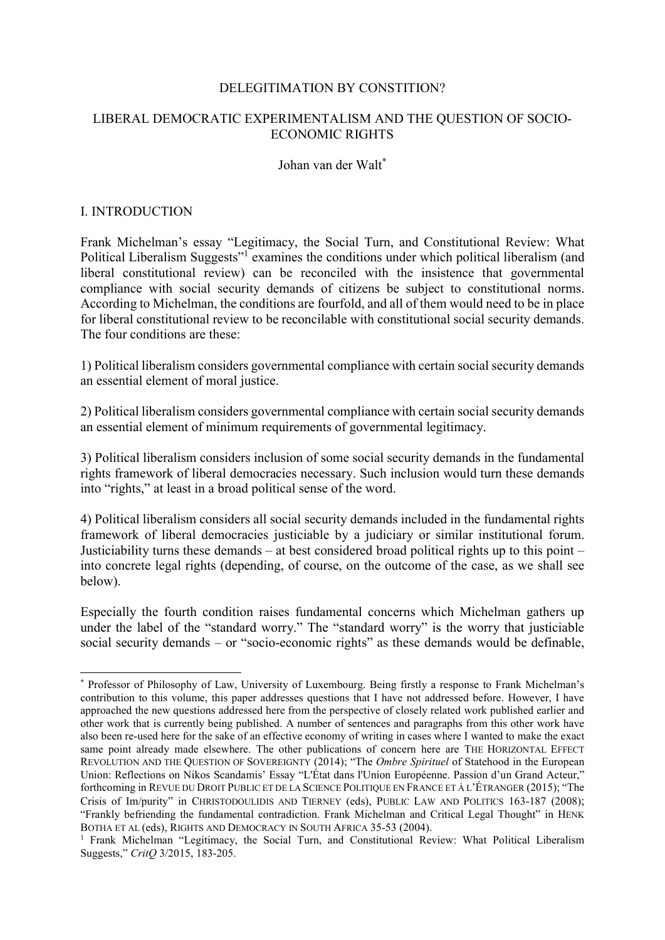#### DELEGITIMATION BY CONSTITION?

## LIBERAL DEMOCRATIC EXPERIMENTALISM AND THE QUESTION OF SOCIO-ECONOMIC RIGHTS

Johan van der Walt\*

#### I. INTRODUCTION

Frank Michelman's essay "Legitimacy, the Social Turn, and Constitutional Review: What Political Liberalism Suggests"<sup>1</sup> examines the conditions under which political liberalism (and liberal constitutional review) can be reconciled with the insistence that governmental compliance with social security demands of citizens be subject to constitutional norms. According to Michelman, the conditions are fourfold, and all of them would need to be in place for liberal constitutional review to be reconcilable with constitutional social security demands. The four conditions are these:

1) Political liberalism considers governmental compliance with certain social security demands an essential element of moral justice.

2) Political liberalism considers governmental compliance with certain social security demands an essential element of minimum requirements of governmental legitimacy.

3) Political liberalism considers inclusion of some social security demands in the fundamental rights framework of liberal democracies necessary. Such inclusion would turn these demands into "rights," at least in a broad political sense of the word.

4) Political liberalism considers all social security demands included in the fundamental rights framework of liberal democracies justiciable by a judiciary or similar institutional forum. Justiciability turns these demands – at best considered broad political rights up to this point – into concrete legal rights (depending, of course, on the outcome of the case, as we shall see below).

Especially the fourth condition raises fundamental concerns which Michelman gathers up under the label of the "standard worry." The "standard worry" is the worry that justiciable social security demands – or "socio-economic rights" as these demands would be definable,

 <sup>\*</sup> Professor of Philosophy of Law, University of Luxembourg. Being firstly a response to Frank Michelman's contribution to this volume, this paper addresses questions that I have not addressed before. However, I have approached the new questions addressed here from the perspective of closely related work published earlier and other work that is currently being published. A number of sentences and paragraphs from this other work have also been re-used here for the sake of an effective economy of writing in cases where I wanted to make the exact same point already made elsewhere. The other publications of concern here are THE HORIZONTAL EFFECT REVOLUTION AND THE QUESTION OF SOVEREIGNTY (2014); "The *Ombre Spirituel* of Statehood in the European Union: Reflections on Nikos Scandamis' Essay "L'État dans l'Union Européenne. Passion d'un Grand Acteur," forthcoming in REVUE DU DROIT PUBLIC ET DE LA SCIENCE POLITIQUE EN FRANCE ET À L'ÉTRANGER (2015); "The Crisis of Im/purity" in CHRISTODOULIDIS AND TIERNEY (eds), PUBLIC LAW AND POLITICS 163-187 (2008); "Frankly befriending the fundamental contradiction. Frank Michelman and Critical Legal Thought" in HENK BOTHA ET AL (eds), RIGHTS AND DEMOCRACY IN SOUTH AFRICA 35-53 (2004).

<sup>&</sup>lt;sup>1</sup> Frank Michelman "Legitimacy, the Social Turn, and Constitutional Review: What Political Liberalism Suggests," *CritQ* 3/2015, 183-205.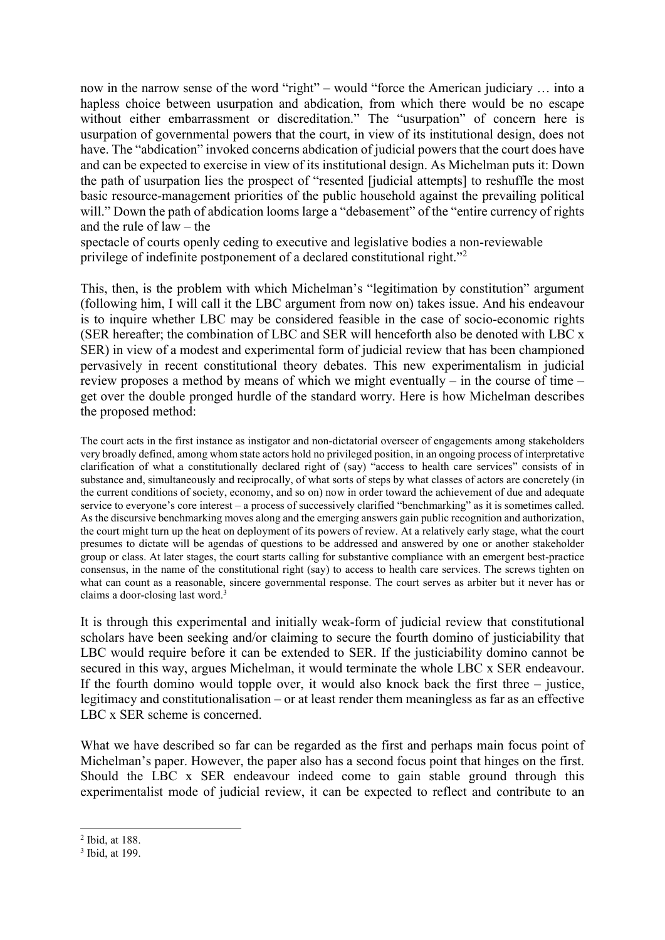now in the narrow sense of the word "right" – would "force the American judiciary … into a hapless choice between usurpation and abdication, from which there would be no escape without either embarrassment or discreditation." The "usurpation" of concern here is usurpation of governmental powers that the court, in view of its institutional design, does not have. The "abdication" invoked concerns abdication of judicial powers that the court does have and can be expected to exercise in view of its institutional design. As Michelman puts it: Down the path of usurpation lies the prospect of "resented [judicial attempts] to reshuffle the most basic resource-management priorities of the public household against the prevailing political will." Down the path of abdication looms large a "debasement" of the "entire currency of rights and the rule of law – the

spectacle of courts openly ceding to executive and legislative bodies a non-reviewable privilege of indefinite postponement of a declared constitutional right."<sup>2</sup>

This, then, is the problem with which Michelman's "legitimation by constitution" argument (following him, I will call it the LBC argument from now on) takes issue. And his endeavour is to inquire whether LBC may be considered feasible in the case of socio-economic rights (SER hereafter; the combination of LBC and SER will henceforth also be denoted with LBC x SER) in view of a modest and experimental form of judicial review that has been championed pervasively in recent constitutional theory debates. This new experimentalism in judicial review proposes a method by means of which we might eventually – in the course of time – get over the double pronged hurdle of the standard worry. Here is how Michelman describes the proposed method:

The court acts in the first instance as instigator and non-dictatorial overseer of engagements among stakeholders very broadly defined, among whom state actors hold no privileged position, in an ongoing process of interpretative clarification of what a constitutionally declared right of (say) "access to health care services" consists of in substance and, simultaneously and reciprocally, of what sorts of steps by what classes of actors are concretely (in the current conditions of society, economy, and so on) now in order toward the achievement of due and adequate service to everyone's core interest – a process of successively clarified "benchmarking" as it is sometimes called. As the discursive benchmarking moves along and the emerging answers gain public recognition and authorization, the court might turn up the heat on deployment of its powers of review. At a relatively early stage, what the court presumes to dictate will be agendas of questions to be addressed and answered by one or another stakeholder group or class. At later stages, the court starts calling for substantive compliance with an emergent best-practice consensus, in the name of the constitutional right (say) to access to health care services. The screws tighten on what can count as a reasonable, sincere governmental response. The court serves as arbiter but it never has or claims a door-closing last word.<sup>3</sup>

It is through this experimental and initially weak-form of judicial review that constitutional scholars have been seeking and/or claiming to secure the fourth domino of justiciability that LBC would require before it can be extended to SER. If the justiciability domino cannot be secured in this way, argues Michelman, it would terminate the whole LBC x SER endeavour. If the fourth domino would topple over, it would also knock back the first three – justice, legitimacy and constitutionalisation – or at least render them meaningless as far as an effective LBC x SER scheme is concerned.

What we have described so far can be regarded as the first and perhaps main focus point of Michelman's paper. However, the paper also has a second focus point that hinges on the first. Should the LBC x SER endeavour indeed come to gain stable ground through this experimentalist mode of judicial review, it can be expected to reflect and contribute to an

 $2$  Ibid, at 188.

<sup>3</sup> Ibid, at 199.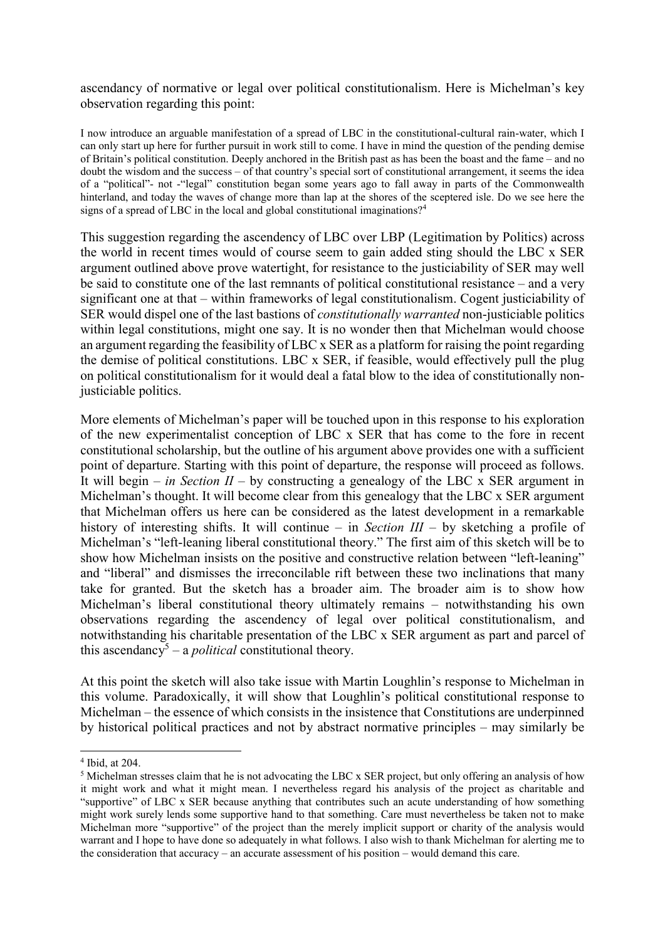ascendancy of normative or legal over political constitutionalism. Here is Michelman's key observation regarding this point:

I now introduce an arguable manifestation of a spread of LBC in the constitutional-cultural rain-water, which I can only start up here for further pursuit in work still to come. I have in mind the question of the pending demise of Britain's political constitution. Deeply anchored in the British past as has been the boast and the fame – and no doubt the wisdom and the success – of that country's special sort of constitutional arrangement, it seems the idea of a "political"- not -"legal" constitution began some years ago to fall away in parts of the Commonwealth hinterland, and today the waves of change more than lap at the shores of the sceptered isle. Do we see here the signs of a spread of LBC in the local and global constitutional imaginations?<sup>4</sup>

This suggestion regarding the ascendency of LBC over LBP (Legitimation by Politics) across the world in recent times would of course seem to gain added sting should the LBC x SER argument outlined above prove watertight, for resistance to the justiciability of SER may well be said to constitute one of the last remnants of political constitutional resistance – and a very significant one at that – within frameworks of legal constitutionalism. Cogent justiciability of SER would dispel one of the last bastions of *constitutionally warranted* non-justiciable politics within legal constitutions, might one say. It is no wonder then that Michelman would choose an argument regarding the feasibility of LBC x SER as a platform for raising the point regarding the demise of political constitutions. LBC x SER, if feasible, would effectively pull the plug on political constitutionalism for it would deal a fatal blow to the idea of constitutionally nonjusticiable politics.

More elements of Michelman's paper will be touched upon in this response to his exploration of the new experimentalist conception of LBC x SER that has come to the fore in recent constitutional scholarship, but the outline of his argument above provides one with a sufficient point of departure. Starting with this point of departure, the response will proceed as follows. It will begin – *in Section II* – by constructing a genealogy of the LBC x SER argument in Michelman's thought. It will become clear from this genealogy that the LBC x SER argument that Michelman offers us here can be considered as the latest development in a remarkable history of interesting shifts. It will continue – in *Section III* – by sketching a profile of Michelman's "left-leaning liberal constitutional theory." The first aim of this sketch will be to show how Michelman insists on the positive and constructive relation between "left-leaning" and "liberal" and dismisses the irreconcilable rift between these two inclinations that many take for granted. But the sketch has a broader aim. The broader aim is to show how Michelman's liberal constitutional theory ultimately remains – notwithstanding his own observations regarding the ascendency of legal over political constitutionalism, and notwithstanding his charitable presentation of the LBC x SER argument as part and parcel of this ascendancy<sup>5</sup> – a *political* constitutional theory.

At this point the sketch will also take issue with Martin Loughlin's response to Michelman in this volume. Paradoxically, it will show that Loughlin's political constitutional response to Michelman – the essence of which consists in the insistence that Constitutions are underpinned by historical political practices and not by abstract normative principles – may similarly be

 <sup>4</sup> Ibid, at 204.

<sup>&</sup>lt;sup>5</sup> Michelman stresses claim that he is not advocating the LBC x SER project, but only offering an analysis of how it might work and what it might mean. I nevertheless regard his analysis of the project as charitable and "supportive" of LBC x SER because anything that contributes such an acute understanding of how something might work surely lends some supportive hand to that something. Care must nevertheless be taken not to make Michelman more "supportive" of the project than the merely implicit support or charity of the analysis would warrant and I hope to have done so adequately in what follows. I also wish to thank Michelman for alerting me to the consideration that accuracy – an accurate assessment of his position – would demand this care.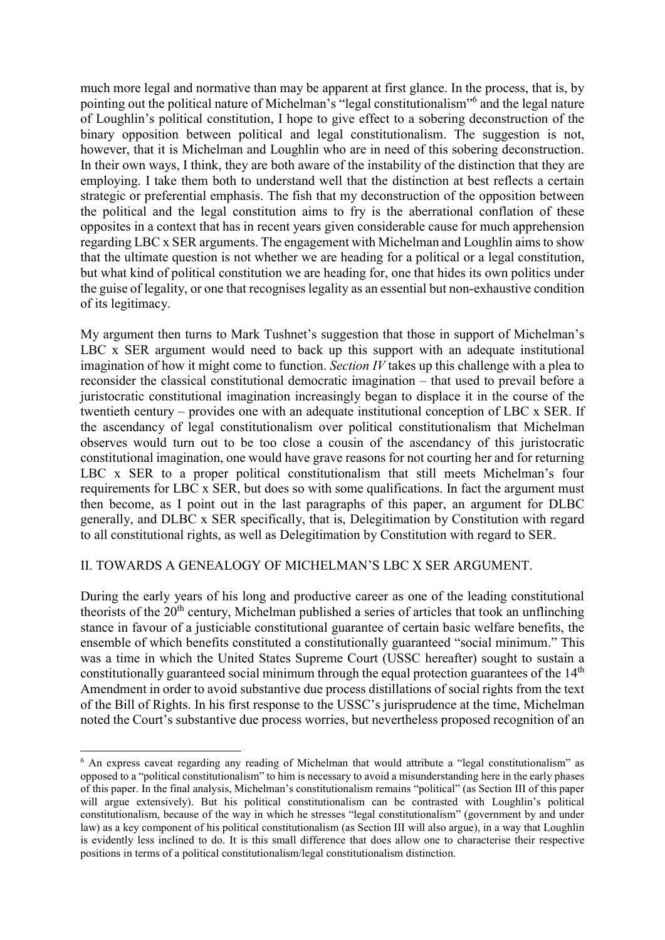much more legal and normative than may be apparent at first glance. In the process, that is, by pointing out the political nature of Michelman's "legal constitutionalism"6 and the legal nature of Loughlin's political constitution, I hope to give effect to a sobering deconstruction of the binary opposition between political and legal constitutionalism. The suggestion is not, however, that it is Michelman and Loughlin who are in need of this sobering deconstruction. In their own ways, I think, they are both aware of the instability of the distinction that they are employing. I take them both to understand well that the distinction at best reflects a certain strategic or preferential emphasis. The fish that my deconstruction of the opposition between the political and the legal constitution aims to fry is the aberrational conflation of these opposites in a context that has in recent years given considerable cause for much apprehension regarding LBC x SER arguments. The engagement with Michelman and Loughlin aims to show that the ultimate question is not whether we are heading for a political or a legal constitution, but what kind of political constitution we are heading for, one that hides its own politics under the guise of legality, or one that recognises legality as an essential but non-exhaustive condition of its legitimacy.

My argument then turns to Mark Tushnet's suggestion that those in support of Michelman's LBC x SER argument would need to back up this support with an adequate institutional imagination of how it might come to function. *Section IV* takes up this challenge with a plea to reconsider the classical constitutional democratic imagination – that used to prevail before a juristocratic constitutional imagination increasingly began to displace it in the course of the twentieth century – provides one with an adequate institutional conception of LBC x SER. If the ascendancy of legal constitutionalism over political constitutionalism that Michelman observes would turn out to be too close a cousin of the ascendancy of this juristocratic constitutional imagination, one would have grave reasons for not courting her and for returning LBC x SER to a proper political constitutionalism that still meets Michelman's four requirements for LBC x SER, but does so with some qualifications. In fact the argument must then become, as I point out in the last paragraphs of this paper, an argument for DLBC generally, and DLBC x SER specifically, that is, Delegitimation by Constitution with regard to all constitutional rights, as well as Delegitimation by Constitution with regard to SER.

# II. TOWARDS A GENEALOGY OF MICHELMAN'S LBC X SER ARGUMENT.

During the early years of his long and productive career as one of the leading constitutional theorists of the  $20<sup>th</sup>$  century, Michelman published a series of articles that took an unflinching stance in favour of a justiciable constitutional guarantee of certain basic welfare benefits, the ensemble of which benefits constituted a constitutionally guaranteed "social minimum." This was a time in which the United States Supreme Court (USSC hereafter) sought to sustain a constitutionally guaranteed social minimum through the equal protection guarantees of the  $14<sup>th</sup>$ Amendment in order to avoid substantive due process distillations of social rights from the text of the Bill of Rights. In his first response to the USSC's jurisprudence at the time, Michelman noted the Court's substantive due process worries, but nevertheless proposed recognition of an

<sup>&</sup>lt;sup>6</sup> An express caveat regarding any reading of Michelman that would attribute a "legal constitutionalism" as opposed to a "political constitutionalism" to him is necessary to avoid a misunderstanding here in the early phases of this paper. In the final analysis, Michelman's constitutionalism remains "political" (as Section III of this paper will argue extensively). But his political constitutionalism can be contrasted with Loughlin's political constitutionalism, because of the way in which he stresses "legal constitutionalism" (government by and under law) as a key component of his political constitutionalism (as Section III will also argue), in a way that Loughlin is evidently less inclined to do. It is this small difference that does allow one to characterise their respective positions in terms of a political constitutionalism/legal constitutionalism distinction.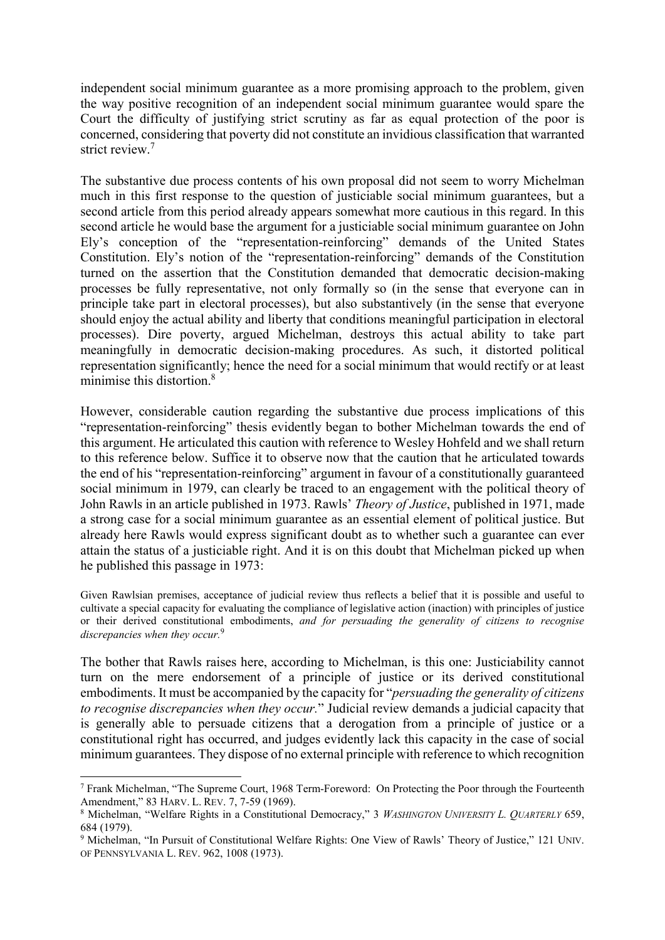independent social minimum guarantee as a more promising approach to the problem, given the way positive recognition of an independent social minimum guarantee would spare the Court the difficulty of justifying strict scrutiny as far as equal protection of the poor is concerned, considering that poverty did not constitute an invidious classification that warranted strict review.<sup>7</sup>

The substantive due process contents of his own proposal did not seem to worry Michelman much in this first response to the question of justiciable social minimum guarantees, but a second article from this period already appears somewhat more cautious in this regard. In this second article he would base the argument for a justiciable social minimum guarantee on John Ely's conception of the "representation-reinforcing" demands of the United States Constitution. Ely's notion of the "representation-reinforcing" demands of the Constitution turned on the assertion that the Constitution demanded that democratic decision-making processes be fully representative, not only formally so (in the sense that everyone can in principle take part in electoral processes), but also substantively (in the sense that everyone should enjoy the actual ability and liberty that conditions meaningful participation in electoral processes). Dire poverty, argued Michelman, destroys this actual ability to take part meaningfully in democratic decision-making procedures. As such, it distorted political representation significantly; hence the need for a social minimum that would rectify or at least minimise this distortion.8

However, considerable caution regarding the substantive due process implications of this "representation-reinforcing" thesis evidently began to bother Michelman towards the end of this argument. He articulated this caution with reference to Wesley Hohfeld and we shall return to this reference below. Suffice it to observe now that the caution that he articulated towards the end of his "representation-reinforcing" argument in favour of a constitutionally guaranteed social minimum in 1979, can clearly be traced to an engagement with the political theory of John Rawls in an article published in 1973. Rawls' *Theory of Justice*, published in 1971, made a strong case for a social minimum guarantee as an essential element of political justice. But already here Rawls would express significant doubt as to whether such a guarantee can ever attain the status of a justiciable right. And it is on this doubt that Michelman picked up when he published this passage in 1973:

Given Rawlsian premises, acceptance of judicial review thus reflects a belief that it is possible and useful to cultivate a special capacity for evaluating the compliance of legislative action (inaction) with principles of justice or their derived constitutional embodiments, *and for persuading the generality of citizens to recognise discrepancies when they occur.*<sup>9</sup>

The bother that Rawls raises here, according to Michelman, is this one: Justiciability cannot turn on the mere endorsement of a principle of justice or its derived constitutional embodiments. It must be accompanied by the capacity for "*persuading the generality of citizens to recognise discrepancies when they occur.*" Judicial review demands a judicial capacity that is generally able to persuade citizens that a derogation from a principle of justice or a constitutional right has occurred, and judges evidently lack this capacity in the case of social minimum guarantees. They dispose of no external principle with reference to which recognition

 <sup>7</sup> Frank Michelman, "The Supreme Court, 1968 Term-Foreword: On Protecting the Poor through the Fourteenth Amendment," 83 HARV. L. REV. 7, 7-59 (1969).

<sup>8</sup> Michelman, "Welfare Rights in a Constitutional Democracy," 3 *WASHINGTON UNIVERSITY L. QUARTERLY* 659, 684 (1979).

<sup>9</sup> Michelman, "In Pursuit of Constitutional Welfare Rights: One View of Rawls' Theory of Justice," 121 UNIV. OF PENNSYLVANIA L. REV. 962, 1008 (1973).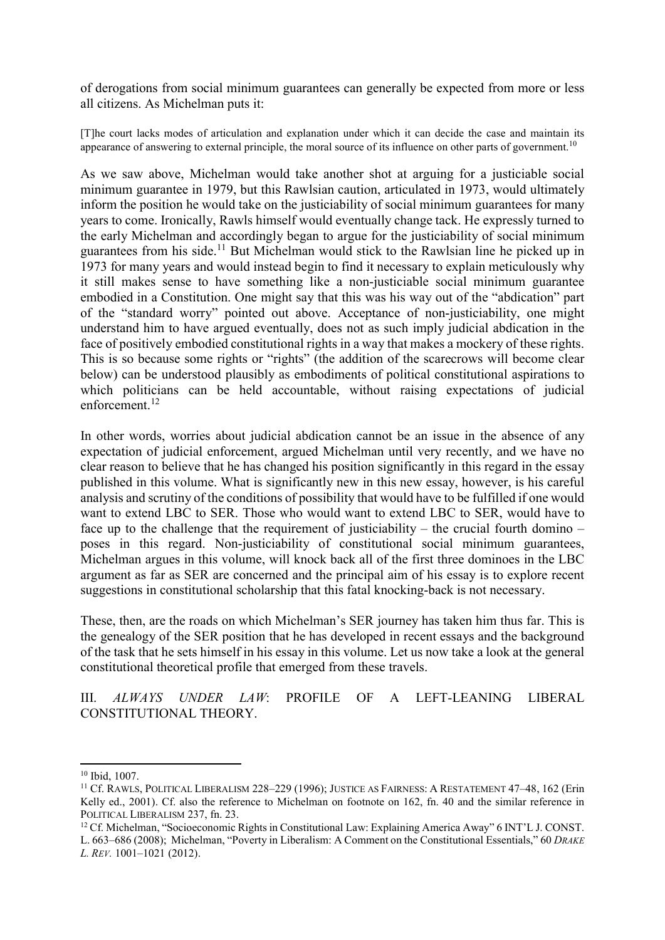of derogations from social minimum guarantees can generally be expected from more or less all citizens. As Michelman puts it:

[T]he court lacks modes of articulation and explanation under which it can decide the case and maintain its appearance of answering to external principle, the moral source of its influence on other parts of government.<sup>10</sup>

As we saw above, Michelman would take another shot at arguing for a justiciable social minimum guarantee in 1979, but this Rawlsian caution, articulated in 1973, would ultimately inform the position he would take on the justiciability of social minimum guarantees for many years to come. Ironically, Rawls himself would eventually change tack. He expressly turned to the early Michelman and accordingly began to argue for the justiciability of social minimum guarantees from his side.<sup>11</sup> But Michelman would stick to the Rawlsian line he picked up in 1973 for many years and would instead begin to find it necessary to explain meticulously why it still makes sense to have something like a non-justiciable social minimum guarantee embodied in a Constitution. One might say that this was his way out of the "abdication" part of the "standard worry" pointed out above. Acceptance of non-justiciability, one might understand him to have argued eventually, does not as such imply judicial abdication in the face of positively embodied constitutional rights in a way that makes a mockery of these rights. This is so because some rights or "rights" (the addition of the scarecrows will become clear below) can be understood plausibly as embodiments of political constitutional aspirations to which politicians can be held accountable, without raising expectations of judicial enforcement. $12$ 

In other words, worries about judicial abdication cannot be an issue in the absence of any expectation of judicial enforcement, argued Michelman until very recently, and we have no clear reason to believe that he has changed his position significantly in this regard in the essay published in this volume. What is significantly new in this new essay, however, is his careful analysis and scrutiny of the conditions of possibility that would have to be fulfilled if one would want to extend LBC to SER. Those who would want to extend LBC to SER, would have to face up to the challenge that the requirement of justiciability – the crucial fourth domino – poses in this regard. Non-justiciability of constitutional social minimum guarantees, Michelman argues in this volume, will knock back all of the first three dominoes in the LBC argument as far as SER are concerned and the principal aim of his essay is to explore recent suggestions in constitutional scholarship that this fatal knocking-back is not necessary.

These, then, are the roads on which Michelman's SER journey has taken him thus far. This is the genealogy of the SER position that he has developed in recent essays and the background of the task that he sets himself in his essay in this volume. Let us now take a look at the general constitutional theoretical profile that emerged from these travels.

III. *ALWAYS UNDER LAW*: PROFILE OF A LEFT-LEANING LIBERAL CONSTITUTIONAL THEORY.

 <sup>10</sup> Ibid, 1007.

<sup>&</sup>lt;sup>11</sup> Cf. RAWLS, POLITICAL LIBERALISM 228-229 (1996); JUSTICE AS FAIRNESS: A RESTATEMENT 47-48, 162 (Erin Kelly ed., 2001). Cf. also the reference to Michelman on footnote on 162, fn. 40 and the similar reference in POLITICAL LIBERALISM 237, fn. 23.

<sup>12</sup> Cf. Michelman, "Socioeconomic Rights in Constitutional Law: Explaining America Away" 6 INT'L J. CONST. L. 663–686 (2008); Michelman, "Poverty in Liberalism: A Comment on the Constitutional Essentials," 60 *DRAKE* 

*L. REV.* 1001–1021 (2012).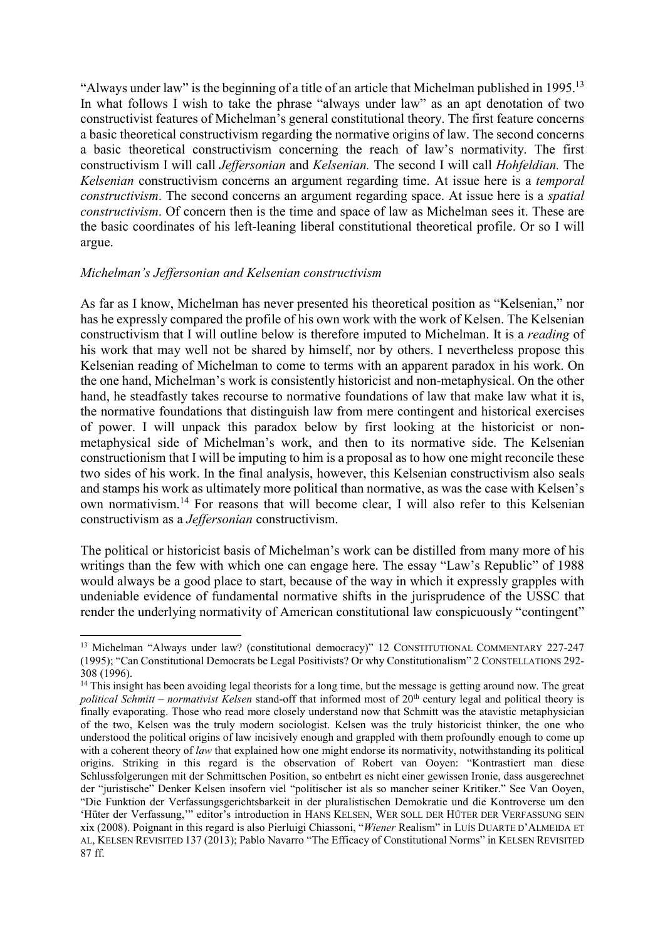"Always under law" is the beginning of a title of an article that Michelman published in 1995.13 In what follows I wish to take the phrase "always under law" as an apt denotation of two constructivist features of Michelman's general constitutional theory. The first feature concerns a basic theoretical constructivism regarding the normative origins of law. The second concerns a basic theoretical constructivism concerning the reach of law's normativity. The first constructivism I will call *Jeffersonian* and *Kelsenian.* The second I will call *Hohfeldian.* The *Kelsenian* constructivism concerns an argument regarding time. At issue here is a *temporal constructivism*. The second concerns an argument regarding space. At issue here is a *spatial constructivism*. Of concern then is the time and space of law as Michelman sees it. These are the basic coordinates of his left-leaning liberal constitutional theoretical profile. Or so I will argue.

### *Michelman's Jeffersonian and Kelsenian constructivism*

As far as I know, Michelman has never presented his theoretical position as "Kelsenian," nor has he expressly compared the profile of his own work with the work of Kelsen. The Kelsenian constructivism that I will outline below is therefore imputed to Michelman. It is a *reading* of his work that may well not be shared by himself, nor by others. I nevertheless propose this Kelsenian reading of Michelman to come to terms with an apparent paradox in his work. On the one hand, Michelman's work is consistently historicist and non-metaphysical. On the other hand, he steadfastly takes recourse to normative foundations of law that make law what it is, the normative foundations that distinguish law from mere contingent and historical exercises of power. I will unpack this paradox below by first looking at the historicist or nonmetaphysical side of Michelman's work, and then to its normative side. The Kelsenian constructionism that I will be imputing to him is a proposal as to how one might reconcile these two sides of his work. In the final analysis, however, this Kelsenian constructivism also seals and stamps his work as ultimately more political than normative, as was the case with Kelsen's own normativism.<sup>14</sup> For reasons that will become clear, I will also refer to this Kelsenian constructivism as a *Jeffersonian* constructivism.

The political or historicist basis of Michelman's work can be distilled from many more of his writings than the few with which one can engage here. The essay "Law's Republic" of 1988 would always be a good place to start, because of the way in which it expressly grapples with undeniable evidence of fundamental normative shifts in the jurisprudence of the USSC that render the underlying normativity of American constitutional law conspicuously "contingent"

<sup>&</sup>lt;sup>13</sup> Michelman "Always under law? (constitutional democracy)" 12 CONSTITUTIONAL COMMENTARY 227-247 (1995); "Can Constitutional Democrats be Legal Positivists? Or why Constitutionalism" 2 CONSTELLATIONS 292- 308 (1996).

<sup>&</sup>lt;sup>14</sup> This insight has been avoiding legal theorists for a long time, but the message is getting around now. The great *political Schmitt – normativist Kelsen* stand-off that informed most of 20<sup>th</sup> century legal and political theory is finally evaporating. Those who read more closely understand now that Schmitt was the atavistic metaphysician of the two, Kelsen was the truly modern sociologist. Kelsen was the truly historicist thinker, the one who understood the political origins of law incisively enough and grappled with them profoundly enough to come up with a coherent theory of *law* that explained how one might endorse its normativity, notwithstanding its political origins. Striking in this regard is the observation of Robert van Ooyen: "Kontrastiert man diese Schlussfolgerungen mit der Schmittschen Position, so entbehrt es nicht einer gewissen Ironie, dass ausgerechnet der "juristische" Denker Kelsen insofern viel "politischer ist als so mancher seiner Kritiker." See Van Ooyen, "Die Funktion der Verfassungsgerichtsbarkeit in der pluralistischen Demokratie und die Kontroverse um den 'Hüter der Verfassung," editor's introduction in HANS KELSEN, WER SOLL DER HÜTER DER VERFASSUNG SEIN xix (2008). Poignant in this regard is also Pierluigi Chiassoni, "*Wiener* Realism" in LUÍS DUARTE D'ALMEIDA ET AL, KELSEN REVISITED 137 (2013); Pablo Navarro "The Efficacy of Constitutional Norms" in KELSEN REVISITED 87 ff.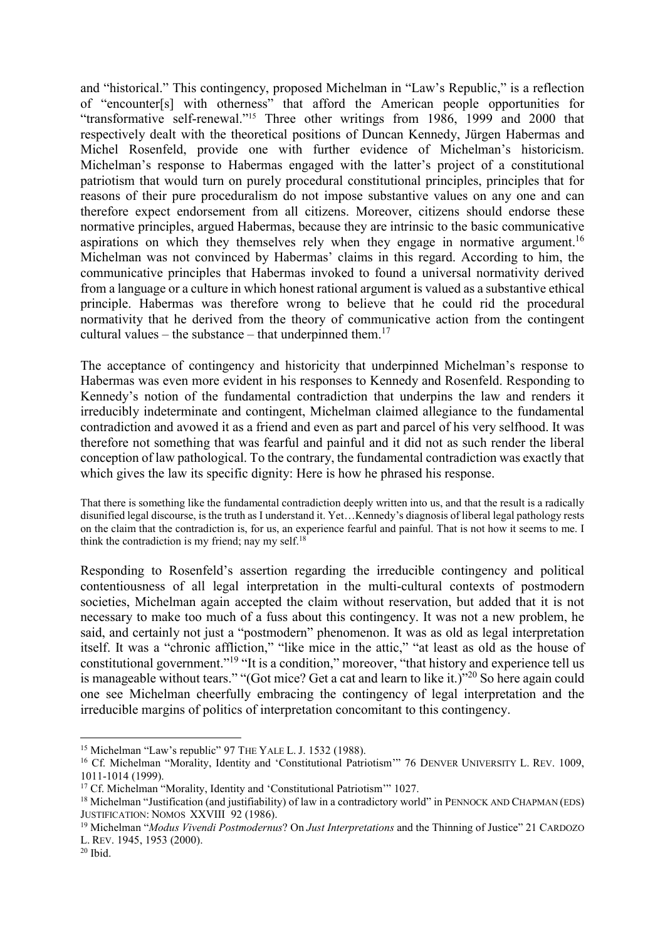and "historical." This contingency, proposed Michelman in "Law's Republic," is a reflection of "encounter[s] with otherness" that afford the American people opportunities for "transformative self-renewal."15 Three other writings from 1986, 1999 and 2000 that respectively dealt with the theoretical positions of Duncan Kennedy, Jürgen Habermas and Michel Rosenfeld, provide one with further evidence of Michelman's historicism. Michelman's response to Habermas engaged with the latter's project of a constitutional patriotism that would turn on purely procedural constitutional principles, principles that for reasons of their pure proceduralism do not impose substantive values on any one and can therefore expect endorsement from all citizens. Moreover, citizens should endorse these normative principles, argued Habermas, because they are intrinsic to the basic communicative aspirations on which they themselves rely when they engage in normative argument.<sup>16</sup> Michelman was not convinced by Habermas' claims in this regard. According to him, the communicative principles that Habermas invoked to found a universal normativity derived from a language or a culture in which honest rational argument is valued as a substantive ethical principle. Habermas was therefore wrong to believe that he could rid the procedural normativity that he derived from the theory of communicative action from the contingent cultural values – the substance – that underpinned them.<sup>17</sup>

The acceptance of contingency and historicity that underpinned Michelman's response to Habermas was even more evident in his responses to Kennedy and Rosenfeld. Responding to Kennedy's notion of the fundamental contradiction that underpins the law and renders it irreducibly indeterminate and contingent, Michelman claimed allegiance to the fundamental contradiction and avowed it as a friend and even as part and parcel of his very selfhood. It was therefore not something that was fearful and painful and it did not as such render the liberal conception of law pathological. To the contrary, the fundamental contradiction was exactly that which gives the law its specific dignity: Here is how he phrased his response.

That there is something like the fundamental contradiction deeply written into us, and that the result is a radically disunified legal discourse, is the truth as I understand it. Yet…Kennedy's diagnosis of liberal legal pathology rests on the claim that the contradiction is, for us, an experience fearful and painful. That is not how it seems to me. I think the contradiction is my friend; nay my self.<sup>18</sup>

Responding to Rosenfeld's assertion regarding the irreducible contingency and political contentiousness of all legal interpretation in the multi-cultural contexts of postmodern societies, Michelman again accepted the claim without reservation, but added that it is not necessary to make too much of a fuss about this contingency. It was not a new problem, he said, and certainly not just a "postmodern" phenomenon. It was as old as legal interpretation itself. It was a "chronic affliction," "like mice in the attic," "at least as old as the house of constitutional government."<sup>19</sup> "It is a condition," moreover, "that history and experience tell us is manageable without tears." "(Got mice? Get a cat and learn to like it.)"20 So here again could one see Michelman cheerfully embracing the contingency of legal interpretation and the irreducible margins of politics of interpretation concomitant to this contingency.

<sup>&</sup>lt;sup>15</sup> Michelman "Law's republic" 97 THE YALE L. J. 1532 (1988).

<sup>&</sup>lt;sup>16</sup> Cf. Michelman "Morality, Identity and 'Constitutional Patriotism'" 76 DENVER UNIVERSITY L. REV. 1009, 1011-1014 (1999).

<sup>&</sup>lt;sup>17</sup> Cf. Michelman "Morality, Identity and 'Constitutional Patriotism'" 1027.

<sup>&</sup>lt;sup>18</sup> Michelman "Justification (and justifiability) of law in a contradictory world" in PENNOCK AND CHAPMAN (EDS) JUSTIFICATION: NOMOS XXVIII 92 (1986).

<sup>19</sup> Michelman "*Modus Vivendi Postmodernus*? On *Just Interpretations* and the Thinning of Justice" 21 CARDOZO L. REV. 1945, 1953 (2000).

 $20$  Ibid.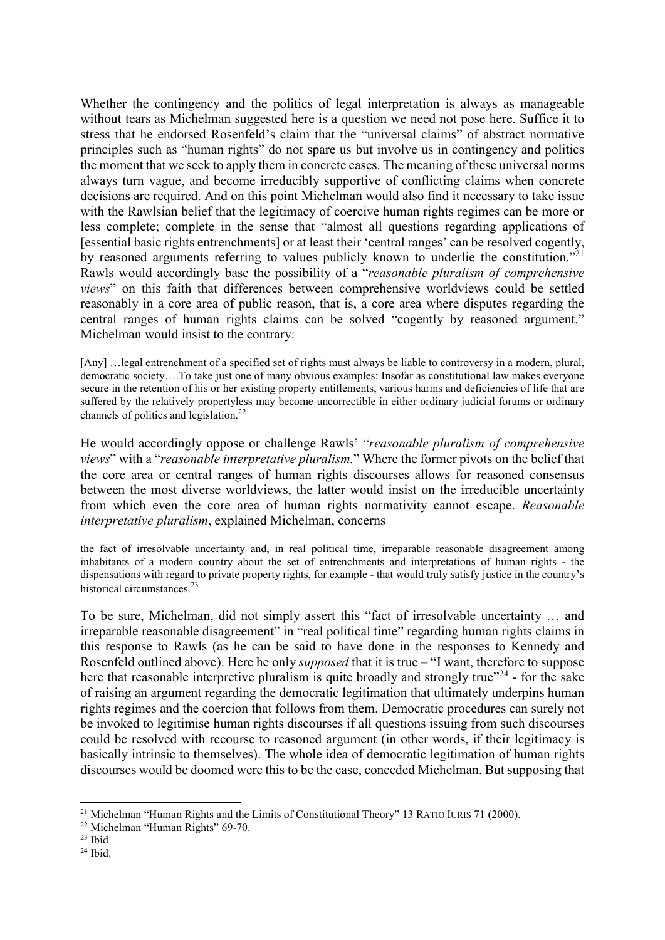Whether the contingency and the politics of legal interpretation is always as manageable without tears as Michelman suggested here is a question we need not pose here. Suffice it to stress that he endorsed Rosenfeld's claim that the "universal claims" of abstract normative principles such as "human rights" do not spare us but involve us in contingency and politics the moment that we seek to apply them in concrete cases. The meaning of these universal norms always turn vague, and become irreducibly supportive of conflicting claims when concrete decisions are required. And on this point Michelman would also find it necessary to take issue with the Rawlsian belief that the legitimacy of coercive human rights regimes can be more or less complete; complete in the sense that "almost all questions regarding applications of [essential basic rights entrenchments] or at least their 'central ranges' can be resolved cogently, by reasoned arguments referring to values publicly known to underlie the constitution."<sup>21</sup> Rawls would accordingly base the possibility of a "*reasonable pluralism of comprehensive views*" on this faith that differences between comprehensive worldviews could be settled reasonably in a core area of public reason, that is, a core area where disputes regarding the central ranges of human rights claims can be solved "cogently by reasoned argument." Michelman would insist to the contrary:

[Any] …legal entrenchment of a specified set of rights must always be liable to controversy in a modern, plural, democratic society….To take just one of many obvious examples: Insofar as constitutional law makes everyone secure in the retention of his or her existing property entitlements, various harms and deficiencies of life that are suffered by the relatively propertyless may become uncorrectible in either ordinary judicial forums or ordinary channels of politics and legislation.<sup>22</sup>

He would accordingly oppose or challenge Rawls' "*reasonable pluralism of comprehensive views*" with a "*reasonable interpretative pluralism.*" Where the former pivots on the belief that the core area or central ranges of human rights discourses allows for reasoned consensus between the most diverse worldviews, the latter would insist on the irreducible uncertainty from which even the core area of human rights normativity cannot escape. *Reasonable interpretative pluralism*, explained Michelman, concerns

the fact of irresolvable uncertainty and, in real political time, irreparable reasonable disagreement among inhabitants of a modern country about the set of entrenchments and interpretations of human rights - the dispensations with regard to private property rights, for example - that would truly satisfy justice in the country's historical circumstances.<sup>23</sup>

To be sure, Michelman, did not simply assert this "fact of irresolvable uncertainty … and irreparable reasonable disagreement" in "real political time" regarding human rights claims in this response to Rawls (as he can be said to have done in the responses to Kennedy and Rosenfeld outlined above). Here he only *supposed* that it is true – "I want, therefore to suppose here that reasonable interpretive pluralism is quite broadly and strongly true"<sup>24</sup> - for the sake of raising an argument regarding the democratic legitimation that ultimately underpins human rights regimes and the coercion that follows from them. Democratic procedures can surely not be invoked to legitimise human rights discourses if all questions issuing from such discourses could be resolved with recourse to reasoned argument (in other words, if their legitimacy is basically intrinsic to themselves). The whole idea of democratic legitimation of human rights discourses would be doomed were this to be the case, conceded Michelman. But supposing that

<sup>&</sup>lt;sup>21</sup> Michelman "Human Rights and the Limits of Constitutional Theory" 13 RATIO IURIS 71 (2000).

<sup>22</sup> Michelman "Human Rights" 69-70.

 $23$  Ibid

 $24$  Ibid.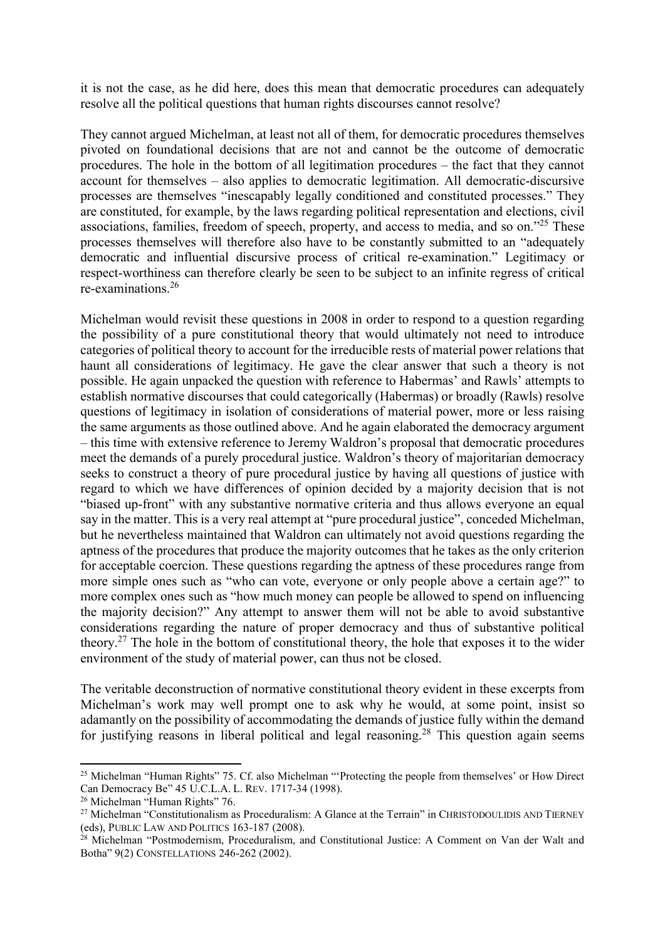it is not the case, as he did here, does this mean that democratic procedures can adequately resolve all the political questions that human rights discourses cannot resolve?

They cannot argued Michelman, at least not all of them, for democratic procedures themselves pivoted on foundational decisions that are not and cannot be the outcome of democratic procedures. The hole in the bottom of all legitimation procedures – the fact that they cannot account for themselves – also applies to democratic legitimation. All democratic-discursive processes are themselves "inescapably legally conditioned and constituted processes." They are constituted, for example, by the laws regarding political representation and elections, civil associations, families, freedom of speech, property, and access to media, and so on."25 These processes themselves will therefore also have to be constantly submitted to an "adequately democratic and influential discursive process of critical re-examination." Legitimacy or respect-worthiness can therefore clearly be seen to be subject to an infinite regress of critical re-examinations.<sup>26</sup>

Michelman would revisit these questions in 2008 in order to respond to a question regarding the possibility of a pure constitutional theory that would ultimately not need to introduce categories of political theory to account for the irreducible rests of material power relations that haunt all considerations of legitimacy. He gave the clear answer that such a theory is not possible. He again unpacked the question with reference to Habermas' and Rawls' attempts to establish normative discourses that could categorically (Habermas) or broadly (Rawls) resolve questions of legitimacy in isolation of considerations of material power, more or less raising the same arguments as those outlined above. And he again elaborated the democracy argument – this time with extensive reference to Jeremy Waldron's proposal that democratic procedures meet the demands of a purely procedural justice. Waldron's theory of majoritarian democracy seeks to construct a theory of pure procedural justice by having all questions of justice with regard to which we have differences of opinion decided by a majority decision that is not "biased up-front" with any substantive normative criteria and thus allows everyone an equal say in the matter. This is a very real attempt at "pure procedural justice", conceded Michelman, but he nevertheless maintained that Waldron can ultimately not avoid questions regarding the aptness of the procedures that produce the majority outcomes that he takes as the only criterion for acceptable coercion. These questions regarding the aptness of these procedures range from more simple ones such as "who can vote, everyone or only people above a certain age?" to more complex ones such as "how much money can people be allowed to spend on influencing the majority decision?" Any attempt to answer them will not be able to avoid substantive considerations regarding the nature of proper democracy and thus of substantive political theory.<sup>27</sup> The hole in the bottom of constitutional theory, the hole that exposes it to the wider environment of the study of material power, can thus not be closed.

The veritable deconstruction of normative constitutional theory evident in these excerpts from Michelman's work may well prompt one to ask why he would, at some point, insist so adamantly on the possibility of accommodating the demands of justice fully within the demand for justifying reasons in liberal political and legal reasoning.<sup>28</sup> This question again seems

<sup>&</sup>lt;sup>25</sup> Michelman "Human Rights" 75. Cf. also Michelman "'Protecting the people from themselves' or How Direct Can Democracy Be" 45 U.C.L.A. L. REV. 1717-34 (1998).

<sup>&</sup>lt;sup>26</sup> Michelman "Human Rights" 76.

<sup>&</sup>lt;sup>27</sup> Michelman "Constitutionalism as Proceduralism: A Glance at the Terrain" in CHRISTODOULIDIS AND TIERNEY (eds), PUBLIC LAW AND POLITICS 163-187 (2008).

 $28$  Michelman "Postmodernism, Proceduralism, and Constitutional Justice: A Comment on Van der Walt and Botha" 9(2) CONSTELLATIONS 246-262 (2002).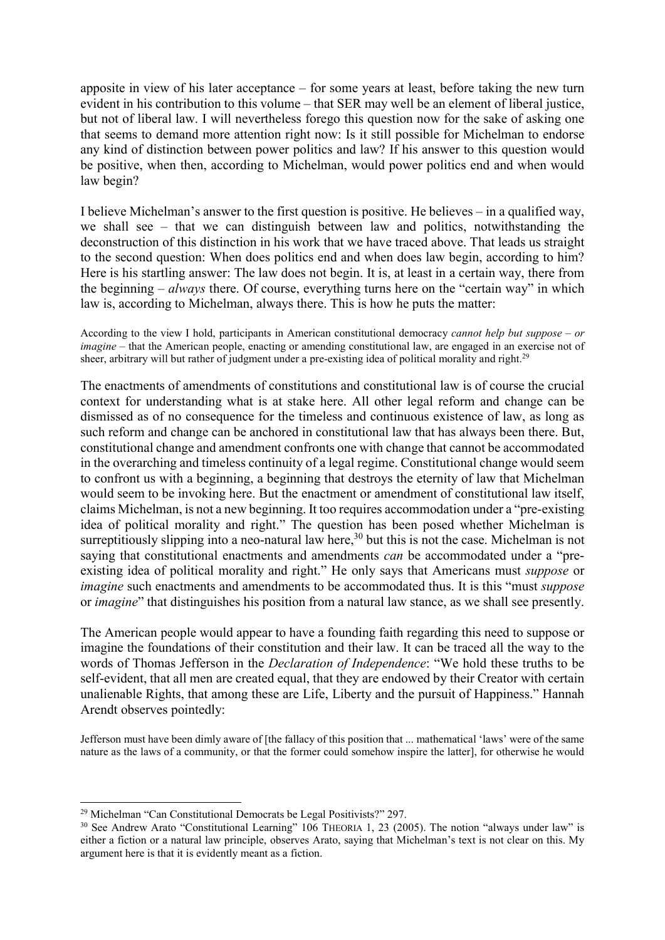apposite in view of his later acceptance – for some years at least, before taking the new turn evident in his contribution to this volume – that SER may well be an element of liberal justice, but not of liberal law. I will nevertheless forego this question now for the sake of asking one that seems to demand more attention right now: Is it still possible for Michelman to endorse any kind of distinction between power politics and law? If his answer to this question would be positive, when then, according to Michelman, would power politics end and when would law begin?

I believe Michelman's answer to the first question is positive. He believes – in a qualified way, we shall see – that we can distinguish between law and politics, notwithstanding the deconstruction of this distinction in his work that we have traced above. That leads us straight to the second question: When does politics end and when does law begin, according to him? Here is his startling answer: The law does not begin. It is, at least in a certain way, there from the beginning – *always* there. Of course, everything turns here on the "certain way" in which law is, according to Michelman, always there. This is how he puts the matter:

According to the view I hold, participants in American constitutional democracy *cannot help but suppose – or imagine* – that the American people, enacting or amending constitutional law, are engaged in an exercise not of sheer, arbitrary will but rather of judgment under a pre-existing idea of political morality and right.<sup>29</sup>

The enactments of amendments of constitutions and constitutional law is of course the crucial context for understanding what is at stake here. All other legal reform and change can be dismissed as of no consequence for the timeless and continuous existence of law, as long as such reform and change can be anchored in constitutional law that has always been there. But, constitutional change and amendment confronts one with change that cannot be accommodated in the overarching and timeless continuity of a legal regime. Constitutional change would seem to confront us with a beginning, a beginning that destroys the eternity of law that Michelman would seem to be invoking here. But the enactment or amendment of constitutional law itself, claims Michelman, is not a new beginning. It too requires accommodation under a "pre-existing idea of political morality and right." The question has been posed whether Michelman is surreptitiously slipping into a neo-natural law here,<sup>30</sup> but this is not the case. Michelman is not saying that constitutional enactments and amendments *can* be accommodated under a "preexisting idea of political morality and right." He only says that Americans must *suppose* or *imagine* such enactments and amendments to be accommodated thus. It is this "must *suppose* or *imagine*" that distinguishes his position from a natural law stance, as we shall see presently.

The American people would appear to have a founding faith regarding this need to suppose or imagine the foundations of their constitution and their law. It can be traced all the way to the words of Thomas Jefferson in the *Declaration of Independence*: "We hold these truths to be self-evident, that all men are created equal, that they are endowed by their Creator with certain unalienable Rights, that among these are Life, Liberty and the pursuit of Happiness." Hannah Arendt observes pointedly:

Jefferson must have been dimly aware of [the fallacy of this position that ... mathematical 'laws' were of the same nature as the laws of a community, or that the former could somehow inspire the latter], for otherwise he would

 <sup>29</sup> Michelman "Can Constitutional Democrats be Legal Positivists?" 297.

<sup>&</sup>lt;sup>30</sup> See Andrew Arato "Constitutional Learning" 106 THEORIA 1, 23 (2005). The notion "always under law" is either a fiction or a natural law principle, observes Arato, saying that Michelman's text is not clear on this. My argument here is that it is evidently meant as a fiction.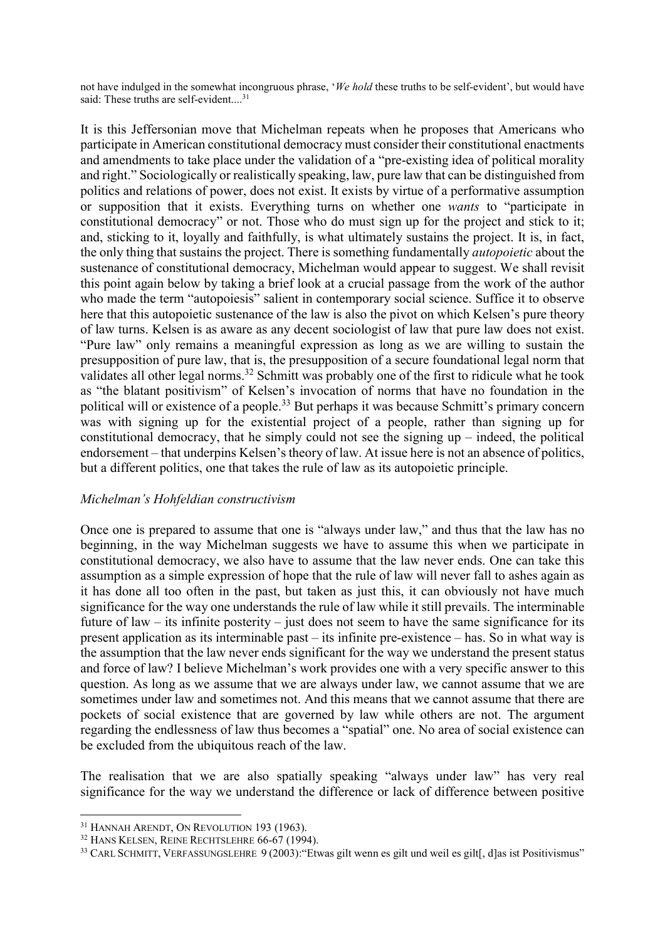not have indulged in the somewhat incongruous phrase, '*We hold* these truths to be self-evident', but would have said: These truths are self-evident....<sup>31</sup>

It is this Jeffersonian move that Michelman repeats when he proposes that Americans who participate in American constitutional democracy must consider their constitutional enactments and amendments to take place under the validation of a "pre-existing idea of political morality and right." Sociologically or realistically speaking, law, pure law that can be distinguished from politics and relations of power, does not exist. It exists by virtue of a performative assumption or supposition that it exists. Everything turns on whether one *wants* to "participate in constitutional democracy" or not. Those who do must sign up for the project and stick to it; and, sticking to it, loyally and faithfully, is what ultimately sustains the project. It is, in fact, the only thing that sustains the project. There is something fundamentally *autopoietic* about the sustenance of constitutional democracy, Michelman would appear to suggest. We shall revisit this point again below by taking a brief look at a crucial passage from the work of the author who made the term "autopoiesis" salient in contemporary social science. Suffice it to observe here that this autopoietic sustenance of the law is also the pivot on which Kelsen's pure theory of law turns. Kelsen is as aware as any decent sociologist of law that pure law does not exist. "Pure law" only remains a meaningful expression as long as we are willing to sustain the presupposition of pure law, that is, the presupposition of a secure foundational legal norm that validates all other legal norms.<sup>32</sup> Schmitt was probably one of the first to ridicule what he took as "the blatant positivism" of Kelsen's invocation of norms that have no foundation in the political will or existence of a people.<sup>33</sup> But perhaps it was because Schmitt's primary concern was with signing up for the existential project of a people, rather than signing up for constitutional democracy, that he simply could not see the signing up – indeed, the political endorsement – that underpins Kelsen's theory of law. At issue here is not an absence of politics, but a different politics, one that takes the rule of law as its autopoietic principle.

### *Michelman's Hohfeldian constructivism*

Once one is prepared to assume that one is "always under law," and thus that the law has no beginning, in the way Michelman suggests we have to assume this when we participate in constitutional democracy, we also have to assume that the law never ends. One can take this assumption as a simple expression of hope that the rule of law will never fall to ashes again as it has done all too often in the past, but taken as just this, it can obviously not have much significance for the way one understands the rule of law while it still prevails. The interminable future of law – its infinite posterity – just does not seem to have the same significance for its present application as its interminable past – its infinite pre-existence – has. So in what way is the assumption that the law never ends significant for the way we understand the present status and force of law? I believe Michelman's work provides one with a very specific answer to this question. As long as we assume that we are always under law, we cannot assume that we are sometimes under law and sometimes not. And this means that we cannot assume that there are pockets of social existence that are governed by law while others are not. The argument regarding the endlessness of law thus becomes a "spatial" one. No area of social existence can be excluded from the ubiquitous reach of the law.

The realisation that we are also spatially speaking "always under law" has very real significance for the way we understand the difference or lack of difference between positive

 <sup>31</sup> HANNAH ARENDT, ON REVOLUTION 193 (1963).

<sup>32</sup> HANS KELSEN, REINE RECHTSLEHRE 66-67 (1994).

<sup>&</sup>lt;sup>33</sup> CARL SCHMITT, VERFASSUNGSLEHRE 9 (2003): "Etwas gilt wenn es gilt und weil es gilt[, d]as ist Positivismus"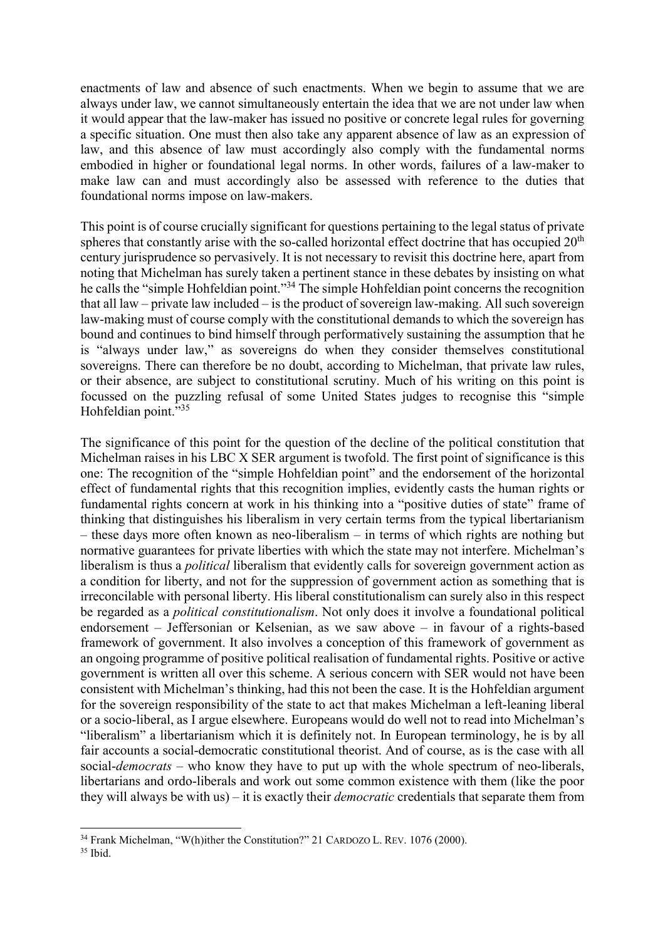enactments of law and absence of such enactments. When we begin to assume that we are always under law, we cannot simultaneously entertain the idea that we are not under law when it would appear that the law-maker has issued no positive or concrete legal rules for governing a specific situation. One must then also take any apparent absence of law as an expression of law, and this absence of law must accordingly also comply with the fundamental norms embodied in higher or foundational legal norms. In other words, failures of a law-maker to make law can and must accordingly also be assessed with reference to the duties that foundational norms impose on law-makers.

This point is of course crucially significant for questions pertaining to the legal status of private spheres that constantly arise with the so-called horizontal effect doctrine that has occupied  $20<sup>th</sup>$ century jurisprudence so pervasively. It is not necessary to revisit this doctrine here, apart from noting that Michelman has surely taken a pertinent stance in these debates by insisting on what he calls the "simple Hohfeldian point."34 The simple Hohfeldian point concerns the recognition that all law – private law included – is the product of sovereign law-making. All such sovereign law-making must of course comply with the constitutional demands to which the sovereign has bound and continues to bind himself through performatively sustaining the assumption that he is "always under law," as sovereigns do when they consider themselves constitutional sovereigns. There can therefore be no doubt, according to Michelman, that private law rules, or their absence, are subject to constitutional scrutiny. Much of his writing on this point is focussed on the puzzling refusal of some United States judges to recognise this "simple Hohfeldian point."35

The significance of this point for the question of the decline of the political constitution that Michelman raises in his LBC X SER argument is twofold. The first point of significance is this one: The recognition of the "simple Hohfeldian point" and the endorsement of the horizontal effect of fundamental rights that this recognition implies, evidently casts the human rights or fundamental rights concern at work in his thinking into a "positive duties of state" frame of thinking that distinguishes his liberalism in very certain terms from the typical libertarianism – these days more often known as neo-liberalism – in terms of which rights are nothing but normative guarantees for private liberties with which the state may not interfere. Michelman's liberalism is thus a *political* liberalism that evidently calls for sovereign government action as a condition for liberty, and not for the suppression of government action as something that is irreconcilable with personal liberty. His liberal constitutionalism can surely also in this respect be regarded as a *political constitutionalism*. Not only does it involve a foundational political endorsement – Jeffersonian or Kelsenian, as we saw above – in favour of a rights-based framework of government. It also involves a conception of this framework of government as an ongoing programme of positive political realisation of fundamental rights. Positive or active government is written all over this scheme. A serious concern with SER would not have been consistent with Michelman's thinking, had this not been the case. It is the Hohfeldian argument for the sovereign responsibility of the state to act that makes Michelman a left-leaning liberal or a socio-liberal, as I argue elsewhere. Europeans would do well not to read into Michelman's "liberalism" a libertarianism which it is definitely not. In European terminology, he is by all fair accounts a social-democratic constitutional theorist. And of course, as is the case with all social-*democrats* – who know they have to put up with the whole spectrum of neo-liberals, libertarians and ordo-liberals and work out some common existence with them (like the poor they will always be with us) – it is exactly their *democratic* credentials that separate them from

<sup>&</sup>lt;sup>34</sup> Frank Michelman, "W(h)ither the Constitution?" 21 CARDOZO L. REV. 1076 (2000).

<sup>35</sup> Ibid.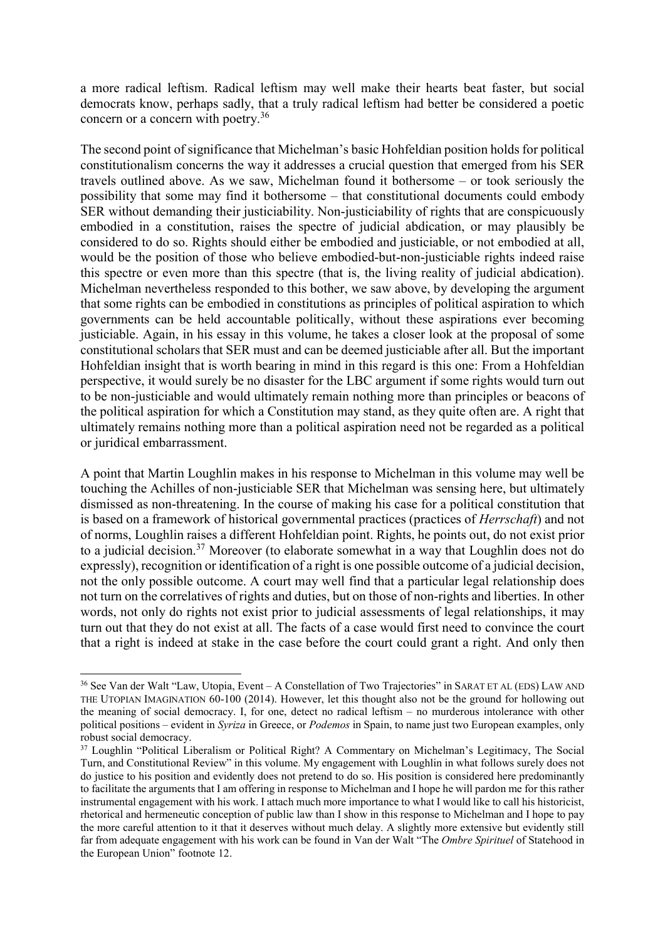a more radical leftism. Radical leftism may well make their hearts beat faster, but social democrats know, perhaps sadly, that a truly radical leftism had better be considered a poetic concern or a concern with poetry.36

The second point of significance that Michelman's basic Hohfeldian position holds for political constitutionalism concerns the way it addresses a crucial question that emerged from his SER travels outlined above. As we saw, Michelman found it bothersome – or took seriously the possibility that some may find it bothersome – that constitutional documents could embody SER without demanding their justiciability. Non-justiciability of rights that are conspicuously embodied in a constitution, raises the spectre of judicial abdication, or may plausibly be considered to do so. Rights should either be embodied and justiciable, or not embodied at all, would be the position of those who believe embodied-but-non-justiciable rights indeed raise this spectre or even more than this spectre (that is, the living reality of judicial abdication). Michelman nevertheless responded to this bother, we saw above, by developing the argument that some rights can be embodied in constitutions as principles of political aspiration to which governments can be held accountable politically, without these aspirations ever becoming justiciable. Again, in his essay in this volume, he takes a closer look at the proposal of some constitutional scholars that SER must and can be deemed justiciable after all. But the important Hohfeldian insight that is worth bearing in mind in this regard is this one: From a Hohfeldian perspective, it would surely be no disaster for the LBC argument if some rights would turn out to be non-justiciable and would ultimately remain nothing more than principles or beacons of the political aspiration for which a Constitution may stand, as they quite often are. A right that ultimately remains nothing more than a political aspiration need not be regarded as a political or juridical embarrassment.

A point that Martin Loughlin makes in his response to Michelman in this volume may well be touching the Achilles of non-justiciable SER that Michelman was sensing here, but ultimately dismissed as non-threatening. In the course of making his case for a political constitution that is based on a framework of historical governmental practices (practices of *Herrschaft*) and not of norms, Loughlin raises a different Hohfeldian point. Rights, he points out, do not exist prior to a judicial decision.<sup>37</sup> Moreover (to elaborate somewhat in a way that Loughlin does not do expressly), recognition or identification of a right is one possible outcome of a judicial decision, not the only possible outcome. A court may well find that a particular legal relationship does not turn on the correlatives of rights and duties, but on those of non-rights and liberties. In other words, not only do rights not exist prior to judicial assessments of legal relationships, it may turn out that they do not exist at all. The facts of a case would first need to convince the court that a right is indeed at stake in the case before the court could grant a right. And only then

 <sup>36</sup> See Van der Walt "Law, Utopia, Event – A Constellation of Two Trajectories" in SARAT ET AL (EDS) LAW AND THE UTOPIAN IMAGINATION 60-100 (2014). However, let this thought also not be the ground for hollowing out the meaning of social democracy. I, for one, detect no radical leftism – no murderous intolerance with other political positions – evident in *Syriza* in Greece, or *Podemos* in Spain, to name just two European examples, only robust social democracy.

<sup>&</sup>lt;sup>37</sup> Loughlin "Political Liberalism or Political Right? A Commentary on Michelman's Legitimacy, The Social Turn, and Constitutional Review" in this volume. My engagement with Loughlin in what follows surely does not do justice to his position and evidently does not pretend to do so. His position is considered here predominantly to facilitate the arguments that I am offering in response to Michelman and I hope he will pardon me for this rather instrumental engagement with his work. I attach much more importance to what I would like to call his historicist, rhetorical and hermeneutic conception of public law than I show in this response to Michelman and I hope to pay the more careful attention to it that it deserves without much delay. A slightly more extensive but evidently still far from adequate engagement with his work can be found in Van der Walt "The *Ombre Spirituel* of Statehood in the European Union" footnote 12.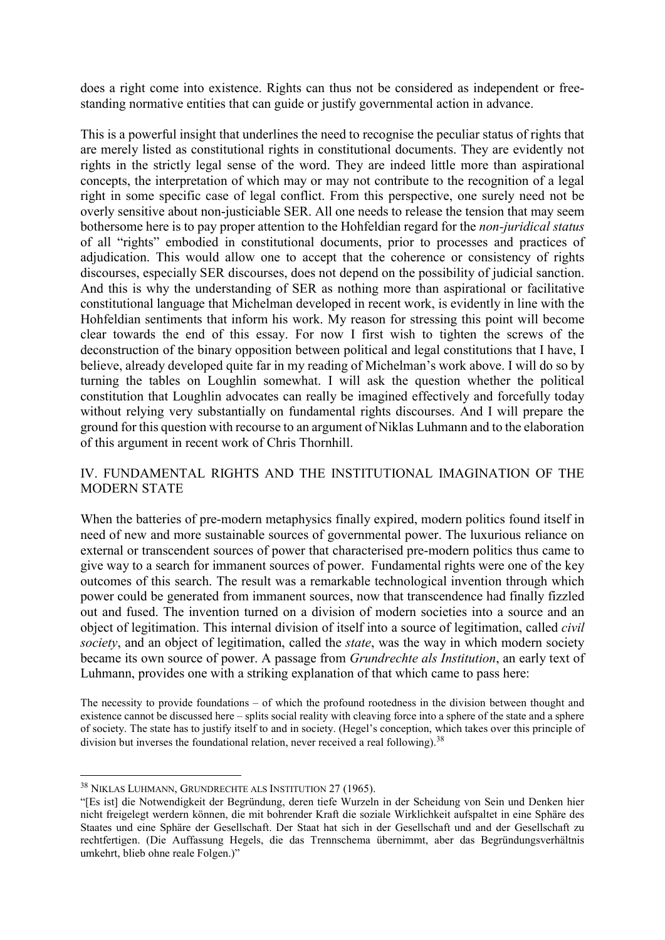does a right come into existence. Rights can thus not be considered as independent or freestanding normative entities that can guide or justify governmental action in advance.

This is a powerful insight that underlines the need to recognise the peculiar status of rights that are merely listed as constitutional rights in constitutional documents. They are evidently not rights in the strictly legal sense of the word. They are indeed little more than aspirational concepts, the interpretation of which may or may not contribute to the recognition of a legal right in some specific case of legal conflict. From this perspective, one surely need not be overly sensitive about non-justiciable SER. All one needs to release the tension that may seem bothersome here is to pay proper attention to the Hohfeldian regard for the *non-juridical status* of all "rights" embodied in constitutional documents, prior to processes and practices of adjudication. This would allow one to accept that the coherence or consistency of rights discourses, especially SER discourses, does not depend on the possibility of judicial sanction. And this is why the understanding of SER as nothing more than aspirational or facilitative constitutional language that Michelman developed in recent work, is evidently in line with the Hohfeldian sentiments that inform his work. My reason for stressing this point will become clear towards the end of this essay. For now I first wish to tighten the screws of the deconstruction of the binary opposition between political and legal constitutions that I have, I believe, already developed quite far in my reading of Michelman's work above. I will do so by turning the tables on Loughlin somewhat. I will ask the question whether the political constitution that Loughlin advocates can really be imagined effectively and forcefully today without relying very substantially on fundamental rights discourses. And I will prepare the ground for this question with recourse to an argument of Niklas Luhmann and to the elaboration of this argument in recent work of Chris Thornhill.

# IV. FUNDAMENTAL RIGHTS AND THE INSTITUTIONAL IMAGINATION OF THE MODERN STATE

When the batteries of pre-modern metaphysics finally expired, modern politics found itself in need of new and more sustainable sources of governmental power. The luxurious reliance on external or transcendent sources of power that characterised pre-modern politics thus came to give way to a search for immanent sources of power. Fundamental rights were one of the key outcomes of this search. The result was a remarkable technological invention through which power could be generated from immanent sources, now that transcendence had finally fizzled out and fused. The invention turned on a division of modern societies into a source and an object of legitimation. This internal division of itself into a source of legitimation, called *civil society*, and an object of legitimation, called the *state*, was the way in which modern society became its own source of power. A passage from *Grundrechte als Institution*, an early text of Luhmann, provides one with a striking explanation of that which came to pass here:

The necessity to provide foundations – of which the profound rootedness in the division between thought and existence cannot be discussed here – splits social reality with cleaving force into a sphere of the state and a sphere of society. The state has to justify itself to and in society. (Hegel's conception, which takes over this principle of division but inverses the foundational relation, never received a real following).<sup>38</sup>

 <sup>38</sup> NIKLAS LUHMANN, GRUNDRECHTE ALS INSTITUTION 27 (1965).

<sup>&</sup>quot;[Es ist] die Notwendigkeit der Begründung, deren tiefe Wurzeln in der Scheidung von Sein und Denken hier nicht freigelegt werdern können, die mit bohrender Kraft die soziale Wirklichkeit aufspaltet in eine Sphäre des Staates und eine Sphäre der Gesellschaft. Der Staat hat sich in der Gesellschaft und and der Gesellschaft zu rechtfertigen. (Die Auffassung Hegels, die das Trennschema übernimmt, aber das Begründungsverhältnis umkehrt, blieb ohne reale Folgen.)"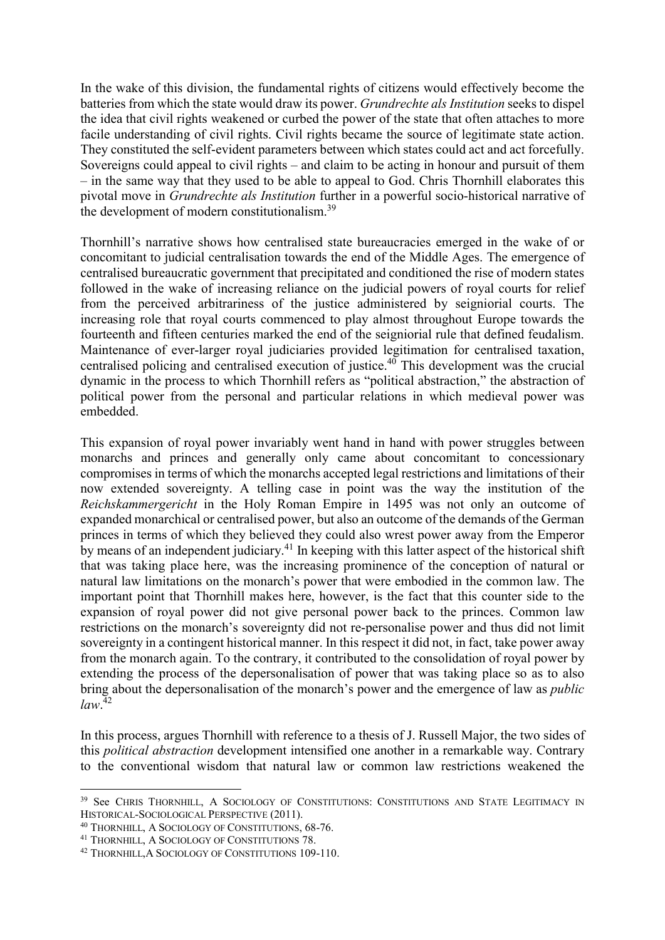In the wake of this division, the fundamental rights of citizens would effectively become the batteries from which the state would draw its power. *Grundrechte als Institution* seeks to dispel the idea that civil rights weakened or curbed the power of the state that often attaches to more facile understanding of civil rights. Civil rights became the source of legitimate state action. They constituted the self-evident parameters between which states could act and act forcefully. Sovereigns could appeal to civil rights – and claim to be acting in honour and pursuit of them – in the same way that they used to be able to appeal to God. Chris Thornhill elaborates this pivotal move in *Grundrechte als Institution* further in a powerful socio-historical narrative of the development of modern constitutionalism.39

Thornhill's narrative shows how centralised state bureaucracies emerged in the wake of or concomitant to judicial centralisation towards the end of the Middle Ages. The emergence of centralised bureaucratic government that precipitated and conditioned the rise of modern states followed in the wake of increasing reliance on the judicial powers of royal courts for relief from the perceived arbitrariness of the justice administered by seigniorial courts. The increasing role that royal courts commenced to play almost throughout Europe towards the fourteenth and fifteen centuries marked the end of the seigniorial rule that defined feudalism. Maintenance of ever-larger royal judiciaries provided legitimation for centralised taxation, centralised policing and centralised execution of justice.40 This development was the crucial dynamic in the process to which Thornhill refers as "political abstraction," the abstraction of political power from the personal and particular relations in which medieval power was embedded.

This expansion of royal power invariably went hand in hand with power struggles between monarchs and princes and generally only came about concomitant to concessionary compromises in terms of which the monarchs accepted legal restrictions and limitations of their now extended sovereignty. A telling case in point was the way the institution of the *Reichskammergericht* in the Holy Roman Empire in 1495 was not only an outcome of expanded monarchical or centralised power, but also an outcome of the demands of the German princes in terms of which they believed they could also wrest power away from the Emperor by means of an independent judiciary.<sup>41</sup> In keeping with this latter aspect of the historical shift that was taking place here, was the increasing prominence of the conception of natural or natural law limitations on the monarch's power that were embodied in the common law. The important point that Thornhill makes here, however, is the fact that this counter side to the expansion of royal power did not give personal power back to the princes. Common law restrictions on the monarch's sovereignty did not re-personalise power and thus did not limit sovereignty in a contingent historical manner. In this respect it did not, in fact, take power away from the monarch again. To the contrary, it contributed to the consolidation of royal power by extending the process of the depersonalisation of power that was taking place so as to also bring about the depersonalisation of the monarch's power and the emergence of law as *public law*. 42

In this process, argues Thornhill with reference to a thesis of J. Russell Major, the two sides of this *political abstraction* development intensified one another in a remarkable way. Contrary to the conventional wisdom that natural law or common law restrictions weakened the

<sup>&</sup>lt;sup>39</sup> See CHRIS THORNHILL, A SOCIOLOGY OF CONSTITUTIONS: CONSTITUTIONS AND STATE LEGITIMACY IN HISTORICAL-SOCIOLOGICAL PERSPECTIVE (2011).

<sup>40</sup> THORNHILL, A SOCIOLOGY OF CONSTITUTIONS, 68-76.

<sup>41</sup> THORNHILL, A SOCIOLOGY OF CONSTITUTIONS 78.

<sup>42</sup> THORNHILL,A SOCIOLOGY OF CONSTITUTIONS 109-110.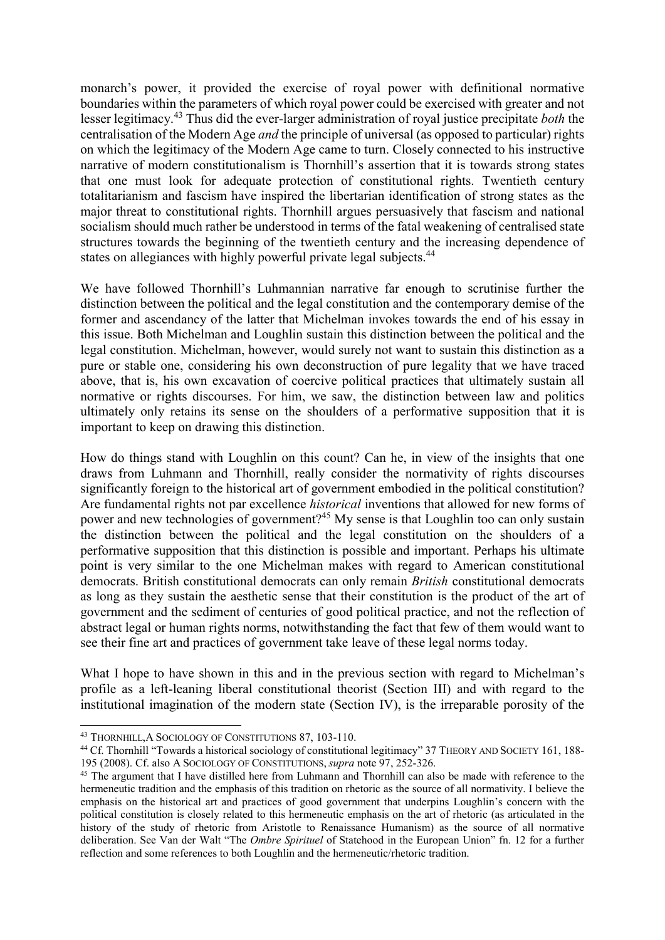monarch's power, it provided the exercise of royal power with definitional normative boundaries within the parameters of which royal power could be exercised with greater and not lesser legitimacy.<sup>43</sup> Thus did the ever-larger administration of royal justice precipitate *both* the centralisation of the Modern Age *and* the principle of universal (as opposed to particular) rights on which the legitimacy of the Modern Age came to turn. Closely connected to his instructive narrative of modern constitutionalism is Thornhill's assertion that it is towards strong states that one must look for adequate protection of constitutional rights. Twentieth century totalitarianism and fascism have inspired the libertarian identification of strong states as the major threat to constitutional rights. Thornhill argues persuasively that fascism and national socialism should much rather be understood in terms of the fatal weakening of centralised state structures towards the beginning of the twentieth century and the increasing dependence of states on allegiances with highly powerful private legal subjects.<sup>44</sup>

We have followed Thornhill's Luhmannian narrative far enough to scrutinise further the distinction between the political and the legal constitution and the contemporary demise of the former and ascendancy of the latter that Michelman invokes towards the end of his essay in this issue. Both Michelman and Loughlin sustain this distinction between the political and the legal constitution. Michelman, however, would surely not want to sustain this distinction as a pure or stable one, considering his own deconstruction of pure legality that we have traced above, that is, his own excavation of coercive political practices that ultimately sustain all normative or rights discourses. For him, we saw, the distinction between law and politics ultimately only retains its sense on the shoulders of a performative supposition that it is important to keep on drawing this distinction.

How do things stand with Loughlin on this count? Can he, in view of the insights that one draws from Luhmann and Thornhill, really consider the normativity of rights discourses significantly foreign to the historical art of government embodied in the political constitution? Are fundamental rights not par excellence *historical* inventions that allowed for new forms of power and new technologies of government?45 My sense is that Loughlin too can only sustain the distinction between the political and the legal constitution on the shoulders of a performative supposition that this distinction is possible and important. Perhaps his ultimate point is very similar to the one Michelman makes with regard to American constitutional democrats. British constitutional democrats can only remain *British* constitutional democrats as long as they sustain the aesthetic sense that their constitution is the product of the art of government and the sediment of centuries of good political practice, and not the reflection of abstract legal or human rights norms, notwithstanding the fact that few of them would want to see their fine art and practices of government take leave of these legal norms today.

What I hope to have shown in this and in the previous section with regard to Michelman's profile as a left-leaning liberal constitutional theorist (Section III) and with regard to the institutional imagination of the modern state (Section IV), is the irreparable porosity of the

 <sup>43</sup> THORNHILL,A SOCIOLOGY OF CONSTITUTIONS 87, 103-110.

<sup>&</sup>lt;sup>44</sup> Cf. Thornhill "Towards a historical sociology of constitutional legitimacy" 37 THEORY AND SOCIETY 161, 188-195 (2008). Cf. also A SOCIOLOGY OF CONSTITUTIONS, *supra* note 97, 252-326.

<sup>&</sup>lt;sup>45</sup> The argument that I have distilled here from Luhmann and Thornhill can also be made with reference to the hermeneutic tradition and the emphasis of this tradition on rhetoric as the source of all normativity. I believe the emphasis on the historical art and practices of good government that underpins Loughlin's concern with the political constitution is closely related to this hermeneutic emphasis on the art of rhetoric (as articulated in the history of the study of rhetoric from Aristotle to Renaissance Humanism) as the source of all normative deliberation. See Van der Walt "The *Ombre Spirituel* of Statehood in the European Union" fn. 12 for a further reflection and some references to both Loughlin and the hermeneutic/rhetoric tradition.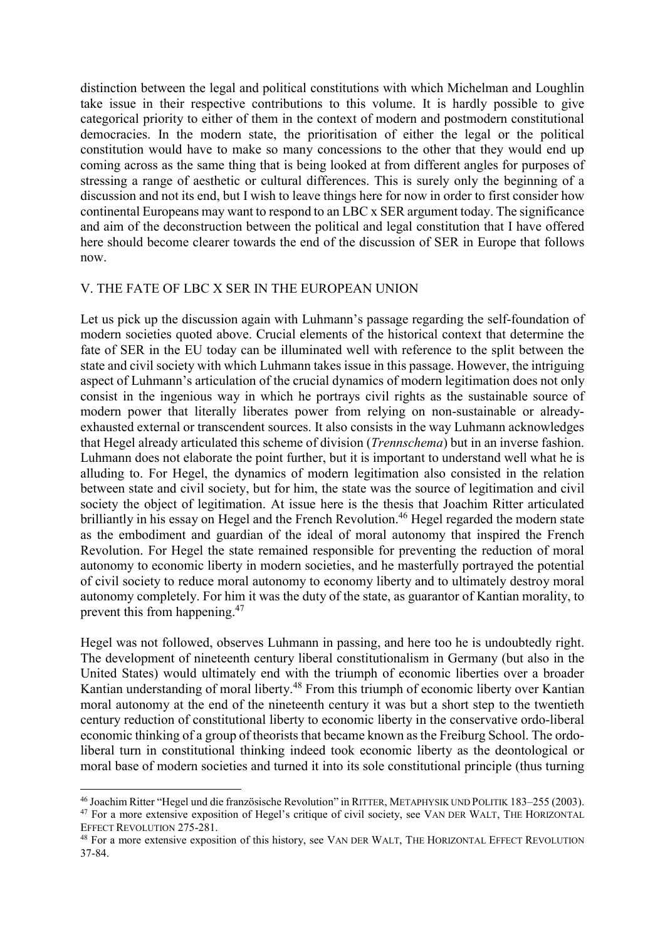distinction between the legal and political constitutions with which Michelman and Loughlin take issue in their respective contributions to this volume. It is hardly possible to give categorical priority to either of them in the context of modern and postmodern constitutional democracies. In the modern state, the prioritisation of either the legal or the political constitution would have to make so many concessions to the other that they would end up coming across as the same thing that is being looked at from different angles for purposes of stressing a range of aesthetic or cultural differences. This is surely only the beginning of a discussion and not its end, but I wish to leave things here for now in order to first consider how continental Europeans may want to respond to an LBC x SER argument today. The significance and aim of the deconstruction between the political and legal constitution that I have offered here should become clearer towards the end of the discussion of SER in Europe that follows now.

### V. THE FATE OF LBC X SER IN THE EUROPEAN UNION

Let us pick up the discussion again with Luhmann's passage regarding the self-foundation of modern societies quoted above. Crucial elements of the historical context that determine the fate of SER in the EU today can be illuminated well with reference to the split between the state and civil society with which Luhmann takes issue in this passage. However, the intriguing aspect of Luhmann's articulation of the crucial dynamics of modern legitimation does not only consist in the ingenious way in which he portrays civil rights as the sustainable source of modern power that literally liberates power from relying on non-sustainable or alreadyexhausted external or transcendent sources. It also consists in the way Luhmann acknowledges that Hegel already articulated this scheme of division (*Trennschema*) but in an inverse fashion. Luhmann does not elaborate the point further, but it is important to understand well what he is alluding to. For Hegel, the dynamics of modern legitimation also consisted in the relation between state and civil society, but for him, the state was the source of legitimation and civil society the object of legitimation. At issue here is the thesis that Joachim Ritter articulated brilliantly in his essay on Hegel and the French Revolution.<sup>46</sup> Hegel regarded the modern state as the embodiment and guardian of the ideal of moral autonomy that inspired the French Revolution. For Hegel the state remained responsible for preventing the reduction of moral autonomy to economic liberty in modern societies, and he masterfully portrayed the potential of civil society to reduce moral autonomy to economy liberty and to ultimately destroy moral autonomy completely. For him it was the duty of the state, as guarantor of Kantian morality, to prevent this from happening.<sup>47</sup>

Hegel was not followed, observes Luhmann in passing, and here too he is undoubtedly right. The development of nineteenth century liberal constitutionalism in Germany (but also in the United States) would ultimately end with the triumph of economic liberties over a broader Kantian understanding of moral liberty.<sup>48</sup> From this triumph of economic liberty over Kantian moral autonomy at the end of the nineteenth century it was but a short step to the twentieth century reduction of constitutional liberty to economic liberty in the conservative ordo-liberal economic thinking of a group of theorists that became known as the Freiburg School. The ordoliberal turn in constitutional thinking indeed took economic liberty as the deontological or moral base of modern societies and turned it into its sole constitutional principle (thus turning

 <sup>46</sup> Joachim Ritter "Hegel und die französische Revolution" in RITTER, METAPHYSIK UND POLITIK 183–255 (2003). <sup>47</sup> For a more extensive exposition of Hegel's critique of civil society, see VAN DER WALT, THE HORIZONTAL EFFECT REVOLUTION 275-281.

<sup>48</sup> For a more extensive exposition of this history, see VAN DER WALT, THE HORIZONTAL EFFECT REVOLUTION 37-84.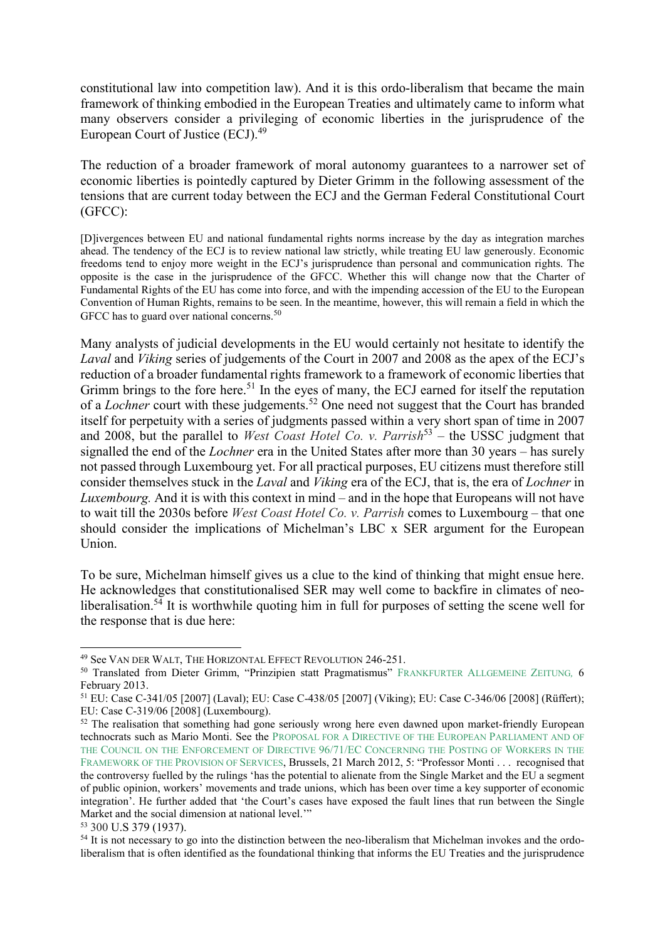constitutional law into competition law). And it is this ordo-liberalism that became the main framework of thinking embodied in the European Treaties and ultimately came to inform what many observers consider a privileging of economic liberties in the jurisprudence of the European Court of Justice (ECJ).<sup>49</sup>

The reduction of a broader framework of moral autonomy guarantees to a narrower set of economic liberties is pointedly captured by Dieter Grimm in the following assessment of the tensions that are current today between the ECJ and the German Federal Constitutional Court (GFCC):

[D]ivergences between EU and national fundamental rights norms increase by the day as integration marches ahead. The tendency of the ECJ is to review national law strictly, while treating EU law generously. Economic freedoms tend to enjoy more weight in the ECJ's jurisprudence than personal and communication rights. The opposite is the case in the jurisprudence of the GFCC. Whether this will change now that the Charter of Fundamental Rights of the EU has come into force, and with the impending accession of the EU to the European Convention of Human Rights, remains to be seen. In the meantime, however, this will remain a field in which the GFCC has to guard over national concerns.<sup>50</sup>

Many analysts of judicial developments in the EU would certainly not hesitate to identify the *Laval* and *Viking* series of judgements of the Court in 2007 and 2008 as the apex of the ECJ's reduction of a broader fundamental rights framework to a framework of economic liberties that Grimm brings to the fore here.<sup>51</sup> In the eyes of many, the ECJ earned for itself the reputation of a *Lochner* court with these judgements.<sup>52</sup> One need not suggest that the Court has branded itself for perpetuity with a series of judgments passed within a very short span of time in 2007 and 2008, but the parallel to *West Coast Hotel Co. v. Parrish*<sup>53</sup> – the USSC judgment that signalled the end of the *Lochner* era in the United States after more than 30 years – has surely not passed through Luxembourg yet. For all practical purposes, EU citizens must therefore still consider themselves stuck in the *Laval* and *Viking* era of the ECJ, that is, the era of *Lochner* in *Luxembourg.* And it is with this context in mind – and in the hope that Europeans will not have to wait till the 2030s before *West Coast Hotel Co. v. Parrish* comes to Luxembourg – that one should consider the implications of Michelman's LBC x SER argument for the European Union.

To be sure, Michelman himself gives us a clue to the kind of thinking that might ensue here. He acknowledges that constitutionalised SER may well come to backfire in climates of neoliberalisation.<sup>54</sup> It is worthwhile quoting him in full for purposes of setting the scene well for the response that is due here:

 <sup>49</sup> See VAN DER WALT, THE HORIZONTAL EFFECT REVOLUTION 246-251.

<sup>50</sup> Translated from Dieter Grimm, "Prinzipien statt Pragmatismus" FRANKFURTER ALLGEMEINE ZEITUNG*,* 6 February 2013.

<sup>51</sup> EU: Case C-341/05 [2007] (Laval); EU: Case C-438/05 [2007] (Viking); EU: Case C-346/06 [2008] (Rüffert); EU: Case C-319/06 [2008] (Luxembourg).

 $52$  The realisation that something had gone seriously wrong here even dawned upon market-friendly European technocrats such as Mario Monti. See the PROPOSAL FOR A DIRECTIVE OF THE EUROPEAN PARLIAMENT AND OF THE COUNCIL ON THE ENFORCEMENT OF DIRECTIVE 96/71/EC CONCERNING THE POSTING OF WORKERS IN THE FRAMEWORK OF THE PROVISION OF SERVICES, Brussels, 21 March 2012, 5: "Professor Monti . . . recognised that the controversy fuelled by the rulings 'has the potential to alienate from the Single Market and the EU a segment of public opinion, workers' movements and trade unions, which has been over time a key supporter of economic integration'. He further added that 'the Court's cases have exposed the fault lines that run between the Single Market and the social dimension at national level.'"

<sup>53</sup> 300 U.S 379 (1937).

<sup>&</sup>lt;sup>54</sup> It is not necessary to go into the distinction between the neo-liberalism that Michelman invokes and the ordoliberalism that is often identified as the foundational thinking that informs the EU Treaties and the jurisprudence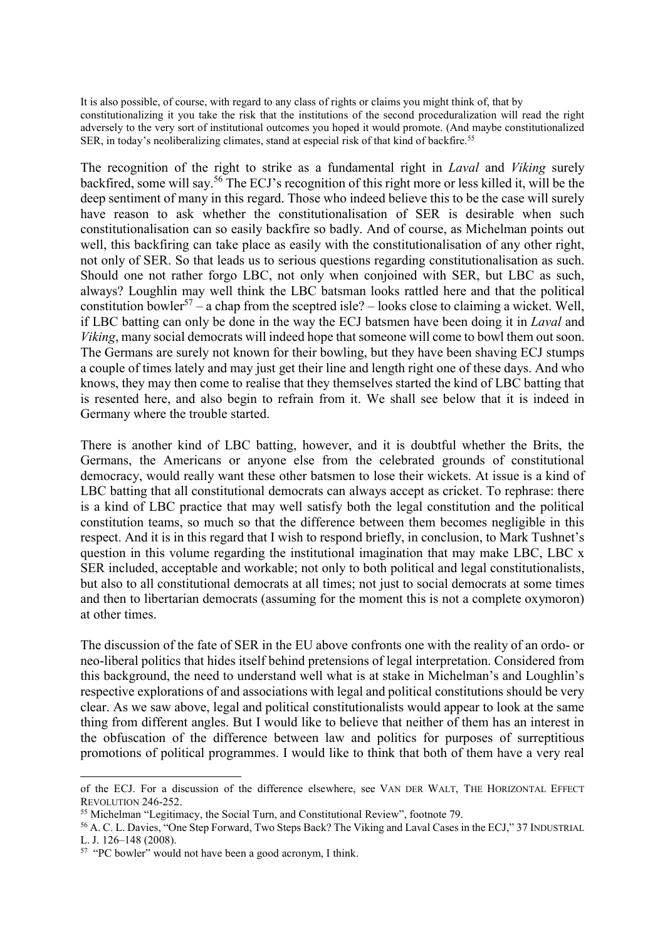It is also possible, of course, with regard to any class of rights or claims you might think of, that by constitutionalizing it you take the risk that the institutions of the second proceduralization will read the right adversely to the very sort of institutional outcomes you hoped it would promote. (And maybe constitutionalized SER, in today's neoliberalizing climates, stand at especial risk of that kind of backfire.<sup>55</sup>

The recognition of the right to strike as a fundamental right in *Laval* and *Viking* surely backfired, some will say.<sup>56</sup> The ECJ's recognition of this right more or less killed it, will be the deep sentiment of many in this regard. Those who indeed believe this to be the case will surely have reason to ask whether the constitutionalisation of SER is desirable when such constitutionalisation can so easily backfire so badly. And of course, as Michelman points out well, this backfiring can take place as easily with the constitutionalisation of any other right, not only of SER. So that leads us to serious questions regarding constitutionalisation as such. Should one not rather forgo LBC, not only when conjoined with SER, but LBC as such, always? Loughlin may well think the LBC batsman looks rattled here and that the political constitution bowler<sup>57</sup> – a chap from the sceptred isle? – looks close to claiming a wicket. Well, if LBC batting can only be done in the way the ECJ batsmen have been doing it in *Laval* and *Viking*, many social democrats will indeed hope that someone will come to bowl them out soon. The Germans are surely not known for their bowling, but they have been shaving ECJ stumps a couple of times lately and may just get their line and length right one of these days. And who knows, they may then come to realise that they themselves started the kind of LBC batting that is resented here, and also begin to refrain from it. We shall see below that it is indeed in Germany where the trouble started.

There is another kind of LBC batting, however, and it is doubtful whether the Brits, the Germans, the Americans or anyone else from the celebrated grounds of constitutional democracy, would really want these other batsmen to lose their wickets. At issue is a kind of LBC batting that all constitutional democrats can always accept as cricket. To rephrase: there is a kind of LBC practice that may well satisfy both the legal constitution and the political constitution teams, so much so that the difference between them becomes negligible in this respect. And it is in this regard that I wish to respond briefly, in conclusion, to Mark Tushnet's question in this volume regarding the institutional imagination that may make LBC, LBC x SER included, acceptable and workable; not only to both political and legal constitutionalists, but also to all constitutional democrats at all times; not just to social democrats at some times and then to libertarian democrats (assuming for the moment this is not a complete oxymoron) at other times.

The discussion of the fate of SER in the EU above confronts one with the reality of an ordo- or neo-liberal politics that hides itself behind pretensions of legal interpretation. Considered from this background, the need to understand well what is at stake in Michelman's and Loughlin's respective explorations of and associations with legal and political constitutions should be very clear. As we saw above, legal and political constitutionalists would appear to look at the same thing from different angles. But I would like to believe that neither of them has an interest in the obfuscation of the difference between law and politics for purposes of surreptitious promotions of political programmes. I would like to think that both of them have a very real

<u>.</u>

of the ECJ. For a discussion of the difference elsewhere, see VAN DER WALT, THE HORIZONTAL EFFECT REVOLUTION 246-252.

<sup>55</sup> Michelman "Legitimacy, the Social Turn, and Constitutional Review", footnote 79.

<sup>56</sup> A. C. L. Davies, "One Step Forward, Two Steps Back? The Viking and Laval Cases in the ECJ," 37 INDUSTRIAL L. J. 126–148 (2008).

<sup>&</sup>lt;sup>57</sup> "PC bowler" would not have been a good acronym, I think.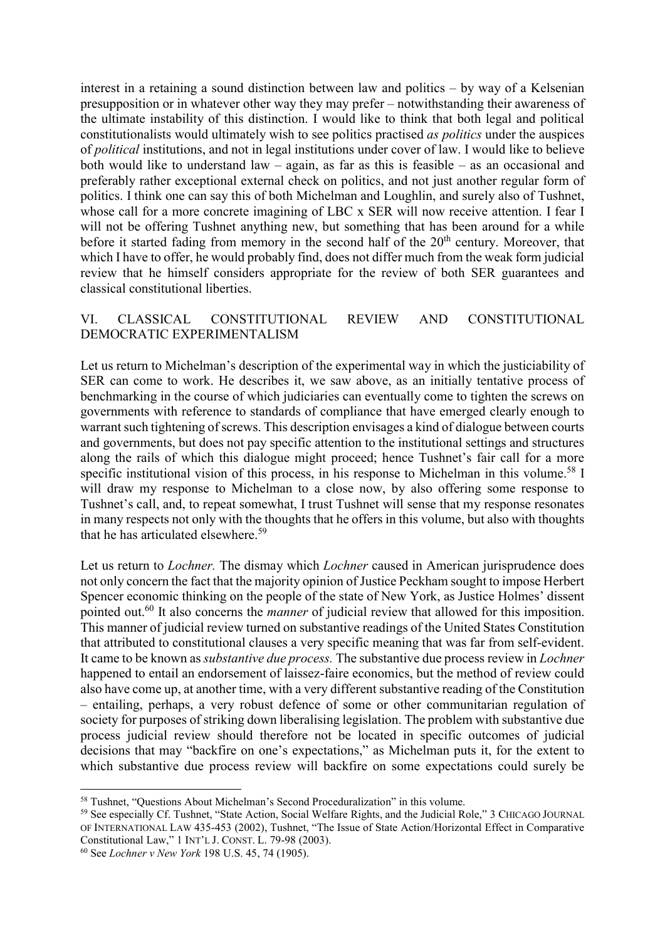interest in a retaining a sound distinction between law and politics – by way of a Kelsenian presupposition or in whatever other way they may prefer – notwithstanding their awareness of the ultimate instability of this distinction. I would like to think that both legal and political constitutionalists would ultimately wish to see politics practised *as politics* under the auspices of *political* institutions, and not in legal institutions under cover of law. I would like to believe both would like to understand law – again, as far as this is feasible – as an occasional and preferably rather exceptional external check on politics, and not just another regular form of politics. I think one can say this of both Michelman and Loughlin, and surely also of Tushnet, whose call for a more concrete imagining of LBC x SER will now receive attention. I fear I will not be offering Tushnet anything new, but something that has been around for a while before it started fading from memory in the second half of the 20<sup>th</sup> century. Moreover, that which I have to offer, he would probably find, does not differ much from the weak form judicial review that he himself considers appropriate for the review of both SER guarantees and classical constitutional liberties.

### VI. CLASSICAL CONSTITUTIONAL REVIEW AND CONSTITUTIONAL DEMOCRATIC EXPERIMENTALISM

Let us return to Michelman's description of the experimental way in which the justiciability of SER can come to work. He describes it, we saw above, as an initially tentative process of benchmarking in the course of which judiciaries can eventually come to tighten the screws on governments with reference to standards of compliance that have emerged clearly enough to warrant such tightening of screws. This description envisages a kind of dialogue between courts and governments, but does not pay specific attention to the institutional settings and structures along the rails of which this dialogue might proceed; hence Tushnet's fair call for a more specific institutional vision of this process, in his response to Michelman in this volume.<sup>58</sup> I will draw my response to Michelman to a close now, by also offering some response to Tushnet's call, and, to repeat somewhat, I trust Tushnet will sense that my response resonates in many respects not only with the thoughts that he offers in this volume, but also with thoughts that he has articulated elsewhere.<sup>59</sup>

Let us return to *Lochner.* The dismay which *Lochner* caused in American jurisprudence does not only concern the fact that the majority opinion of Justice Peckham sought to impose Herbert Spencer economic thinking on the people of the state of New York, as Justice Holmes' dissent pointed out.60 It also concerns the *manner* of judicial review that allowed for this imposition. This manner of judicial review turned on substantive readings of the United States Constitution that attributed to constitutional clauses a very specific meaning that was far from self-evident. It came to be known as *substantive due process.* The substantive due process review in *Lochner*  happened to entail an endorsement of laissez-faire economics, but the method of review could also have come up, at another time, with a very different substantive reading of the Constitution – entailing, perhaps, a very robust defence of some or other communitarian regulation of society for purposes of striking down liberalising legislation. The problem with substantive due process judicial review should therefore not be located in specific outcomes of judicial decisions that may "backfire on one's expectations," as Michelman puts it, for the extent to which substantive due process review will backfire on some expectations could surely be

 <sup>58</sup> Tushnet, "Questions About Michelman's Second Proceduralization" in this volume.

<sup>59</sup> See especially Cf. Tushnet, "State Action, Social Welfare Rights, and the Judicial Role," 3 CHICAGO JOURNAL OF INTERNATIONAL LAW 435-453 (2002), Tushnet, "The Issue of State Action/Horizontal Effect in Comparative Constitutional Law," 1 INT'L J. CONST. L. 79-98 (2003). 60 See *Lochner v New York* 198 U.S. 45, 74 (1905).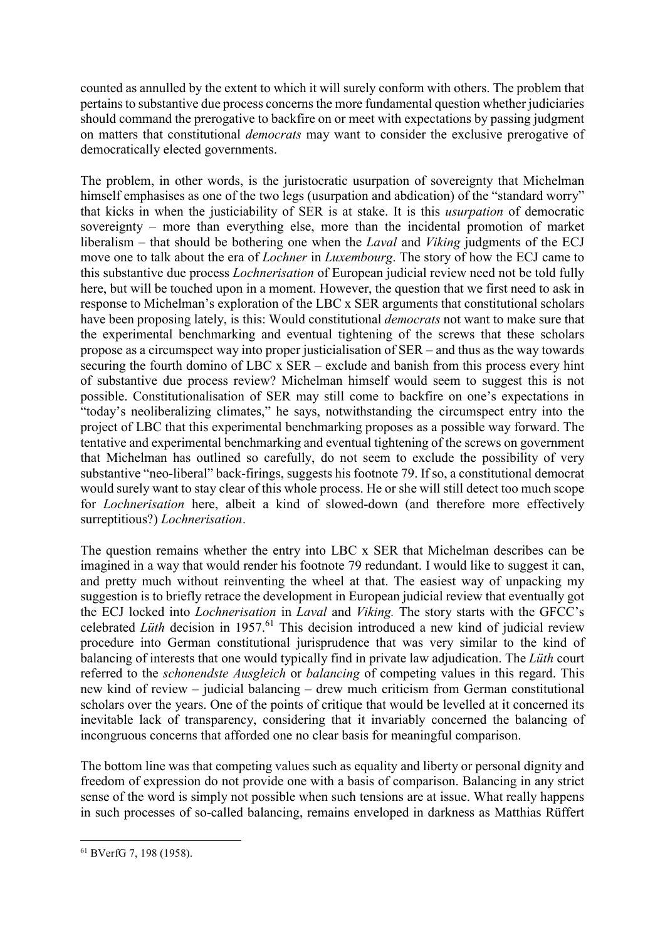counted as annulled by the extent to which it will surely conform with others. The problem that pertains to substantive due process concerns the more fundamental question whether judiciaries should command the prerogative to backfire on or meet with expectations by passing judgment on matters that constitutional *democrats* may want to consider the exclusive prerogative of democratically elected governments.

The problem, in other words, is the juristocratic usurpation of sovereignty that Michelman himself emphasises as one of the two legs (usurpation and abdication) of the "standard worry" that kicks in when the justiciability of SER is at stake. It is this *usurpation* of democratic sovereignty – more than everything else, more than the incidental promotion of market liberalism – that should be bothering one when the *Laval* and *Viking* judgments of the ECJ move one to talk about the era of *Lochner* in *Luxembourg*. The story of how the ECJ came to this substantive due process *Lochnerisation* of European judicial review need not be told fully here, but will be touched upon in a moment. However, the question that we first need to ask in response to Michelman's exploration of the LBC x SER arguments that constitutional scholars have been proposing lately, is this: Would constitutional *democrats* not want to make sure that the experimental benchmarking and eventual tightening of the screws that these scholars propose as a circumspect way into proper justicialisation of SER – and thus as the way towards securing the fourth domino of LBC x SER – exclude and banish from this process every hint of substantive due process review? Michelman himself would seem to suggest this is not possible. Constitutionalisation of SER may still come to backfire on one's expectations in "today's neoliberalizing climates," he says, notwithstanding the circumspect entry into the project of LBC that this experimental benchmarking proposes as a possible way forward. The tentative and experimental benchmarking and eventual tightening of the screws on government that Michelman has outlined so carefully, do not seem to exclude the possibility of very substantive "neo-liberal" back-firings, suggests his footnote 79. If so, a constitutional democrat would surely want to stay clear of this whole process. He or she will still detect too much scope for *Lochnerisation* here, albeit a kind of slowed-down (and therefore more effectively surreptitious?) *Lochnerisation*.

The question remains whether the entry into LBC x SER that Michelman describes can be imagined in a way that would render his footnote 79 redundant. I would like to suggest it can, and pretty much without reinventing the wheel at that. The easiest way of unpacking my suggestion is to briefly retrace the development in European judicial review that eventually got the ECJ locked into *Lochnerisation* in *Laval* and *Viking.* The story starts with the GFCC's celebrated *Lüth* decision in 1957.<sup>61</sup> This decision introduced a new kind of judicial review procedure into German constitutional jurisprudence that was very similar to the kind of balancing of interests that one would typically find in private law adjudication. The *Lüth* court referred to the *schonendste Ausgleich* or *balancing* of competing values in this regard. This new kind of review – judicial balancing – drew much criticism from German constitutional scholars over the years. One of the points of critique that would be levelled at it concerned its inevitable lack of transparency, considering that it invariably concerned the balancing of incongruous concerns that afforded one no clear basis for meaningful comparison.

The bottom line was that competing values such as equality and liberty or personal dignity and freedom of expression do not provide one with a basis of comparison. Balancing in any strict sense of the word is simply not possible when such tensions are at issue. What really happens in such processes of so-called balancing, remains enveloped in darkness as Matthias Rüffert

 <sup>61</sup> BVerfG 7, 198 (1958).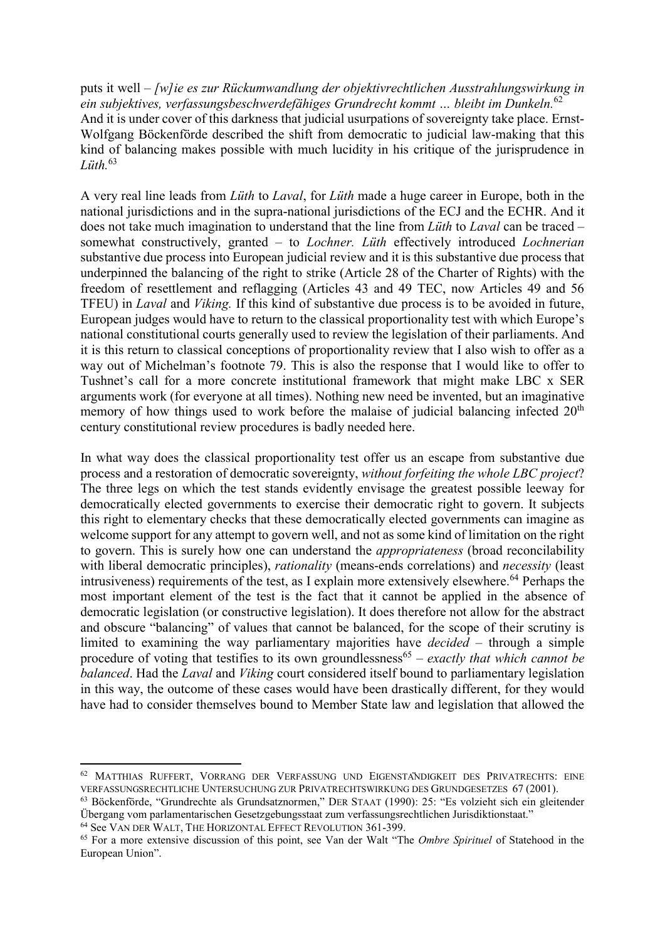puts it well – *[w]ie es zur Rückumwandlung der objektivrechtlichen Ausstrahlungswirkung in ein subjektives, verfassungsbeschwerdefähiges Grundrecht kommt … bleibt im Dunkeln.*<sup>62</sup> And it is under cover of this darkness that judicial usurpations of sovereignty take place. Ernst-Wolfgang Böckenförde described the shift from democratic to judicial law-making that this kind of balancing makes possible with much lucidity in his critique of the jurisprudence in *Lüth.*<sup>63</sup>

A very real line leads from *Lüth* to *Laval*, for *Lüth* made a huge career in Europe, both in the national jurisdictions and in the supra-national jurisdictions of the ECJ and the ECHR. And it does not take much imagination to understand that the line from *Lüth* to *Laval* can be traced – somewhat constructively, granted – to *Lochner. Lüth* effectively introduced *Lochnerian* substantive due process into European judicial review and it is this substantive due process that underpinned the balancing of the right to strike (Article 28 of the Charter of Rights) with the freedom of resettlement and reflagging (Articles 43 and 49 TEC, now Articles 49 and 56 TFEU) in *Laval* and *Viking.* If this kind of substantive due process is to be avoided in future, European judges would have to return to the classical proportionality test with which Europe's national constitutional courts generally used to review the legislation of their parliaments. And it is this return to classical conceptions of proportionality review that I also wish to offer as a way out of Michelman's footnote 79. This is also the response that I would like to offer to Tushnet's call for a more concrete institutional framework that might make LBC x SER arguments work (for everyone at all times). Nothing new need be invented, but an imaginative memory of how things used to work before the malaise of judicial balancing infected 20<sup>th</sup> century constitutional review procedures is badly needed here.

In what way does the classical proportionality test offer us an escape from substantive due process and a restoration of democratic sovereignty, *without forfeiting the whole LBC project*? The three legs on which the test stands evidently envisage the greatest possible leeway for democratically elected governments to exercise their democratic right to govern. It subjects this right to elementary checks that these democratically elected governments can imagine as welcome support for any attempt to govern well, and not as some kind of limitation on the right to govern. This is surely how one can understand the *appropriateness* (broad reconcilability with liberal democratic principles), *rationality* (means-ends correlations) and *necessity* (least intrusiveness) requirements of the test, as I explain more extensively elsewhere.<sup>64</sup> Perhaps the most important element of the test is the fact that it cannot be applied in the absence of democratic legislation (or constructive legislation). It does therefore not allow for the abstract and obscure "balancing" of values that cannot be balanced, for the scope of their scrutiny is limited to examining the way parliamentary majorities have *decided* – through a simple procedure of voting that testifies to its own groundlessness<sup>65</sup> – *exactly that which cannot be balanced*. Had the *Laval* and *Viking* court considered itself bound to parliamentary legislation in this way, the outcome of these cases would have been drastically different, for they would have had to consider themselves bound to Member State law and legislation that allowed the

<sup>&</sup>lt;sup>62</sup> MATTHIAS RUFFERT, VORRANG DER VERFASSUNG UND EIGENSTANDIGKEIT DES PRIVATRECHTS: EINE VERFASSUNGSRECHTLICHE UNTERSUCHUNG ZUR PRIVATRECHTSWIRKUNG DES GRUNDGESETZES 67 (2001).

<sup>63</sup> Böckenförde, "Grundrechte als Grundsatznormen," DER STAAT (1990): 25: "Es volzieht sich ein gleitender Übergang vom parlamentarischen Gesetzgebungsstaat zum verfassungsrechtlichen Jurisdiktionstaat."

<sup>64</sup> See VAN DER WALT, THE HORIZONTAL EFFECT REVOLUTION 361-399.

<sup>65</sup> For a more extensive discussion of this point, see Van der Walt "The *Ombre Spirituel* of Statehood in the European Union".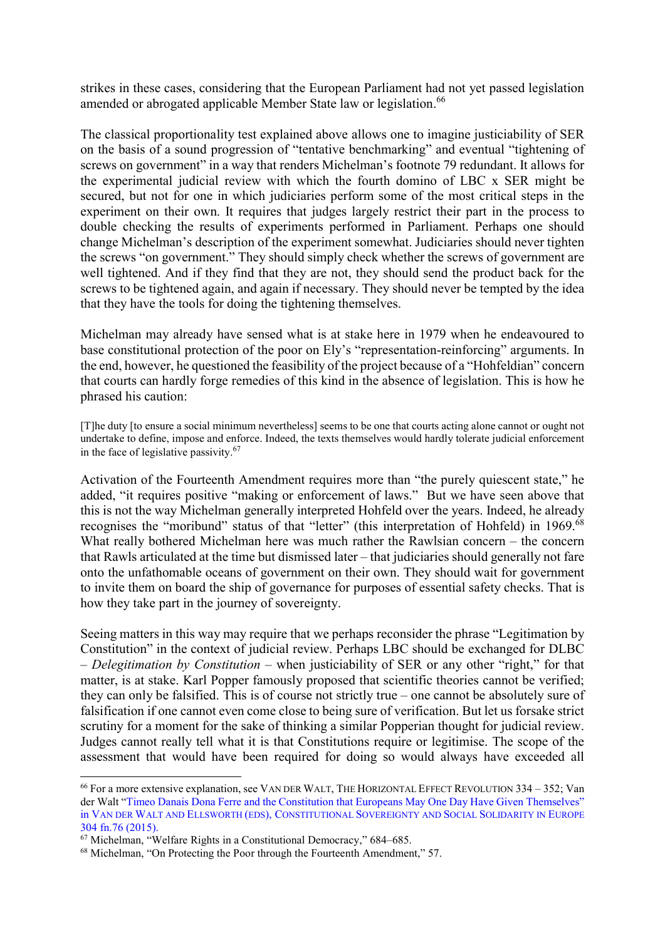strikes in these cases, considering that the European Parliament had not yet passed legislation amended or abrogated applicable Member State law or legislation.<sup>66</sup>

The classical proportionality test explained above allows one to imagine justiciability of SER on the basis of a sound progression of "tentative benchmarking" and eventual "tightening of screws on government" in a way that renders Michelman's footnote 79 redundant. It allows for the experimental judicial review with which the fourth domino of LBC x SER might be secured, but not for one in which judiciaries perform some of the most critical steps in the experiment on their own. It requires that judges largely restrict their part in the process to double checking the results of experiments performed in Parliament. Perhaps one should change Michelman's description of the experiment somewhat. Judiciaries should never tighten the screws "on government." They should simply check whether the screws of government are well tightened. And if they find that they are not, they should send the product back for the screws to be tightened again, and again if necessary. They should never be tempted by the idea that they have the tools for doing the tightening themselves.

Michelman may already have sensed what is at stake here in 1979 when he endeavoured to base constitutional protection of the poor on Ely's "representation-reinforcing" arguments. In the end, however, he questioned the feasibility of the project because of a "Hohfeldian" concern that courts can hardly forge remedies of this kind in the absence of legislation. This is how he phrased his caution:

[T]he duty [to ensure a social minimum nevertheless] seems to be one that courts acting alone cannot or ought not undertake to define, impose and enforce. Indeed, the texts themselves would hardly tolerate judicial enforcement in the face of legislative passivity.<sup>67</sup>

Activation of the Fourteenth Amendment requires more than "the purely quiescent state," he added, "it requires positive "making or enforcement of laws." But we have seen above that this is not the way Michelman generally interpreted Hohfeld over the years. Indeed, he already recognises the "moribund" status of that "letter" (this interpretation of Hohfeld) in 1969.<sup>68</sup> What really bothered Michelman here was much rather the Rawlsian concern – the concern that Rawls articulated at the time but dismissed later – that judiciaries should generally not fare onto the unfathomable oceans of government on their own. They should wait for government to invite them on board the ship of governance for purposes of essential safety checks. That is how they take part in the journey of sovereignty.

Seeing matters in this way may require that we perhaps reconsider the phrase "Legitimation by Constitution" in the context of judicial review. Perhaps LBC should be exchanged for DLBC – *Delegitimation by Constitution* – when justiciability of SER or any other "right," for that matter, is at stake. Karl Popper famously proposed that scientific theories cannot be verified; they can only be falsified. This is of course not strictly true – one cannot be absolutely sure of falsification if one cannot even come close to being sure of verification. But let us forsake strict scrutiny for a moment for the sake of thinking a similar Popperian thought for judicial review. Judges cannot really tell what it is that Constitutions require or legitimise. The scope of the assessment that would have been required for doing so would always have exceeded all

 <sup>66</sup> For a more extensive explanation, see VAN DER WALT, THE HORIZONTAL EFFECT REVOLUTION 334 – 352; Van der Walt "Timeo Danais Dona Ferre and the Constitution that Europeans May One Day Have Given Themselves" in VAN DER WALT AND ELLSWORTH (EDS), CONSTITUTIONAL SOVEREIGNTY AND SOCIAL SOLIDARITY IN EUROPE 304 fn.76 (2015).

<sup>67</sup> Michelman, "Welfare Rights in a Constitutional Democracy," 684–685.

<sup>68</sup> Michelman, "On Protecting the Poor through the Fourteenth Amendment," 57.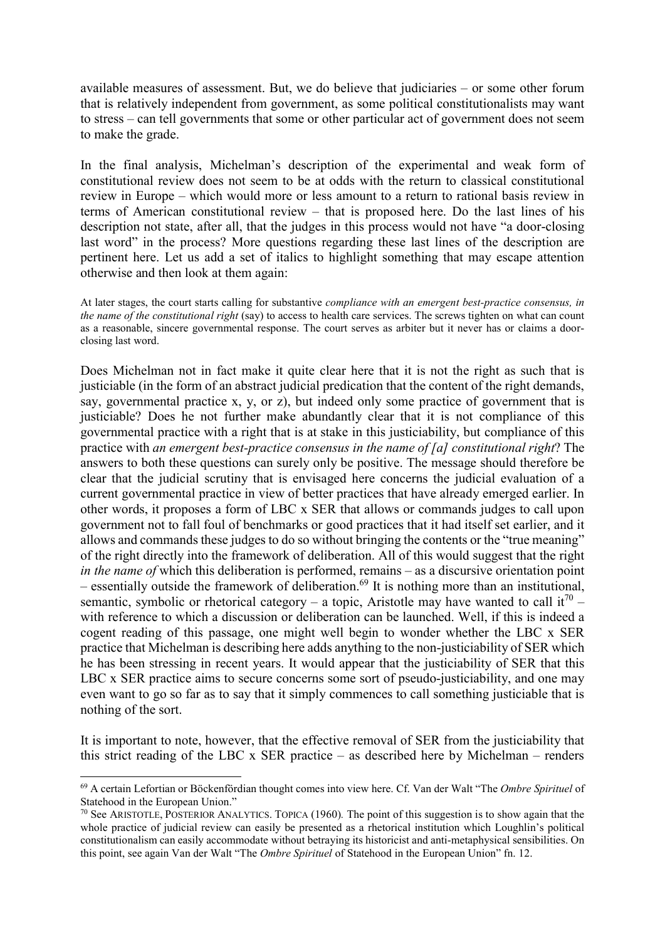available measures of assessment. But, we do believe that judiciaries – or some other forum that is relatively independent from government, as some political constitutionalists may want to stress – can tell governments that some or other particular act of government does not seem to make the grade.

In the final analysis, Michelman's description of the experimental and weak form of constitutional review does not seem to be at odds with the return to classical constitutional review in Europe – which would more or less amount to a return to rational basis review in terms of American constitutional review – that is proposed here. Do the last lines of his description not state, after all, that the judges in this process would not have "a door-closing last word" in the process? More questions regarding these last lines of the description are pertinent here. Let us add a set of italics to highlight something that may escape attention otherwise and then look at them again:

At later stages, the court starts calling for substantive *compliance with an emergent best-practice consensus, in the name of the constitutional right* (say) to access to health care services. The screws tighten on what can count as a reasonable, sincere governmental response. The court serves as arbiter but it never has or claims a doorclosing last word.

Does Michelman not in fact make it quite clear here that it is not the right as such that is justiciable (in the form of an abstract judicial predication that the content of the right demands, say, governmental practice x, y, or z), but indeed only some practice of government that is justiciable? Does he not further make abundantly clear that it is not compliance of this governmental practice with a right that is at stake in this justiciability, but compliance of this practice with *an emergent best-practice consensus in the name of [a] constitutional right*? The answers to both these questions can surely only be positive. The message should therefore be clear that the judicial scrutiny that is envisaged here concerns the judicial evaluation of a current governmental practice in view of better practices that have already emerged earlier. In other words, it proposes a form of LBC x SER that allows or commands judges to call upon government not to fall foul of benchmarks or good practices that it had itself set earlier, and it allows and commands these judges to do so without bringing the contents or the "true meaning" of the right directly into the framework of deliberation. All of this would suggest that the right *in the name of* which this deliberation is performed, remains – as a discursive orientation point  $\sim$  essentially outside the framework of deliberation.<sup>69</sup> It is nothing more than an institutional, semantic, symbolic or rhetorical category – a topic, Aristotle may have wanted to call it<sup>70</sup> – with reference to which a discussion or deliberation can be launched. Well, if this is indeed a cogent reading of this passage, one might well begin to wonder whether the LBC x SER practice that Michelman is describing here adds anything to the non-justiciability of SER which he has been stressing in recent years. It would appear that the justiciability of SER that this LBC x SER practice aims to secure concerns some sort of pseudo-justiciability, and one may even want to go so far as to say that it simply commences to call something justiciable that is nothing of the sort.

It is important to note, however, that the effective removal of SER from the justiciability that this strict reading of the LBC x SER practice – as described here by Michelman – renders

 <sup>69</sup> A certain Lefortian or Böckenfördian thought comes into view here. Cf. Van der Walt "The *Ombre Spirituel* of Statehood in the European Union."

<sup>70</sup> See ARISTOTLE, POSTERIOR ANALYTICS. TOPICA (1960)*.* The point of this suggestion is to show again that the whole practice of judicial review can easily be presented as a rhetorical institution which Loughlin's political constitutionalism can easily accommodate without betraying its historicist and anti-metaphysical sensibilities. On this point, see again Van der Walt "The *Ombre Spirituel* of Statehood in the European Union" fn. 12.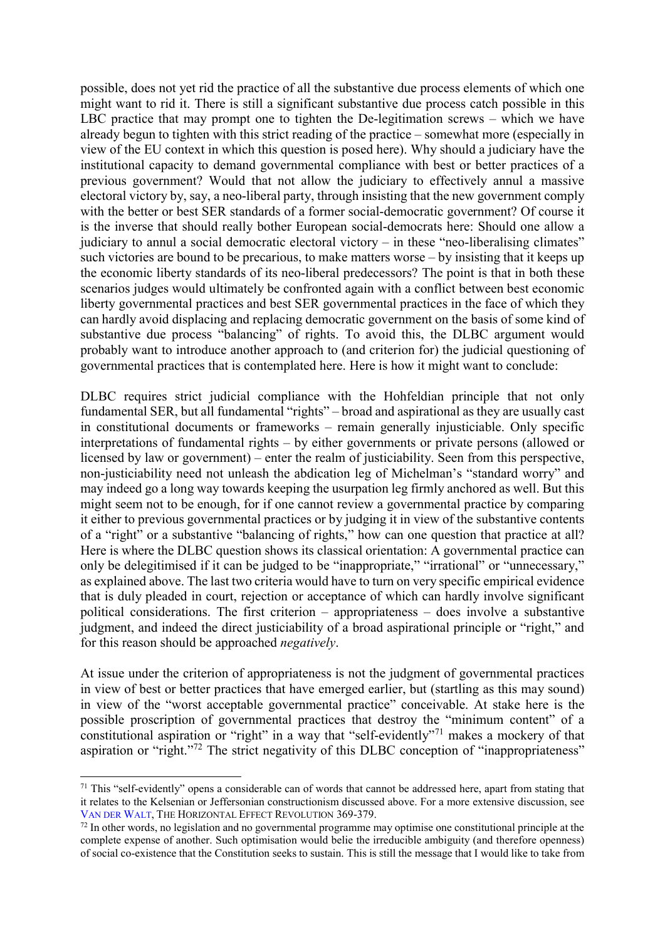possible, does not yet rid the practice of all the substantive due process elements of which one might want to rid it. There is still a significant substantive due process catch possible in this LBC practice that may prompt one to tighten the De-legitimation screws – which we have already begun to tighten with this strict reading of the practice – somewhat more (especially in view of the EU context in which this question is posed here). Why should a judiciary have the institutional capacity to demand governmental compliance with best or better practices of a previous government? Would that not allow the judiciary to effectively annul a massive electoral victory by, say, a neo-liberal party, through insisting that the new government comply with the better or best SER standards of a former social-democratic government? Of course it is the inverse that should really bother European social-democrats here: Should one allow a judiciary to annul a social democratic electoral victory – in these "neo-liberalising climates" such victories are bound to be precarious, to make matters worse – by insisting that it keeps up the economic liberty standards of its neo-liberal predecessors? The point is that in both these scenarios judges would ultimately be confronted again with a conflict between best economic liberty governmental practices and best SER governmental practices in the face of which they can hardly avoid displacing and replacing democratic government on the basis of some kind of substantive due process "balancing" of rights. To avoid this, the DLBC argument would probably want to introduce another approach to (and criterion for) the judicial questioning of governmental practices that is contemplated here. Here is how it might want to conclude:

DLBC requires strict judicial compliance with the Hohfeldian principle that not only fundamental SER, but all fundamental "rights" – broad and aspirational as they are usually cast in constitutional documents or frameworks – remain generally injusticiable. Only specific interpretations of fundamental rights – by either governments or private persons (allowed or licensed by law or government) – enter the realm of justiciability. Seen from this perspective, non-justiciability need not unleash the abdication leg of Michelman's "standard worry" and may indeed go a long way towards keeping the usurpation leg firmly anchored as well. But this might seem not to be enough, for if one cannot review a governmental practice by comparing it either to previous governmental practices or by judging it in view of the substantive contents of a "right" or a substantive "balancing of rights," how can one question that practice at all? Here is where the DLBC question shows its classical orientation: A governmental practice can only be delegitimised if it can be judged to be "inappropriate," "irrational" or "unnecessary," as explained above. The last two criteria would have to turn on very specific empirical evidence that is duly pleaded in court, rejection or acceptance of which can hardly involve significant political considerations. The first criterion – appropriateness – does involve a substantive judgment, and indeed the direct justiciability of a broad aspirational principle or "right," and for this reason should be approached *negatively*.

At issue under the criterion of appropriateness is not the judgment of governmental practices in view of best or better practices that have emerged earlier, but (startling as this may sound) in view of the "worst acceptable governmental practice" conceivable. At stake here is the possible proscription of governmental practices that destroy the "minimum content" of a constitutional aspiration or "right" in a way that "self-evidently"<sup>71</sup> makes a mockery of that aspiration or "right."<sup>72</sup> The strict negativity of this DLBC conception of "inappropriateness"

<sup>&</sup>lt;sup>71</sup> This "self-evidently" opens a considerable can of words that cannot be addressed here, apart from stating that it relates to the Kelsenian or Jeffersonian constructionism discussed above. For a more extensive discussion, see VAN DER WALT, THE HORIZONTAL EFFECT REVOLUTION 369-379.

 $72$  In other words, no legislation and no governmental programme may optimise one constitutional principle at the complete expense of another. Such optimisation would belie the irreducible ambiguity (and therefore openness) of social co-existence that the Constitution seeks to sustain. This is still the message that I would like to take from